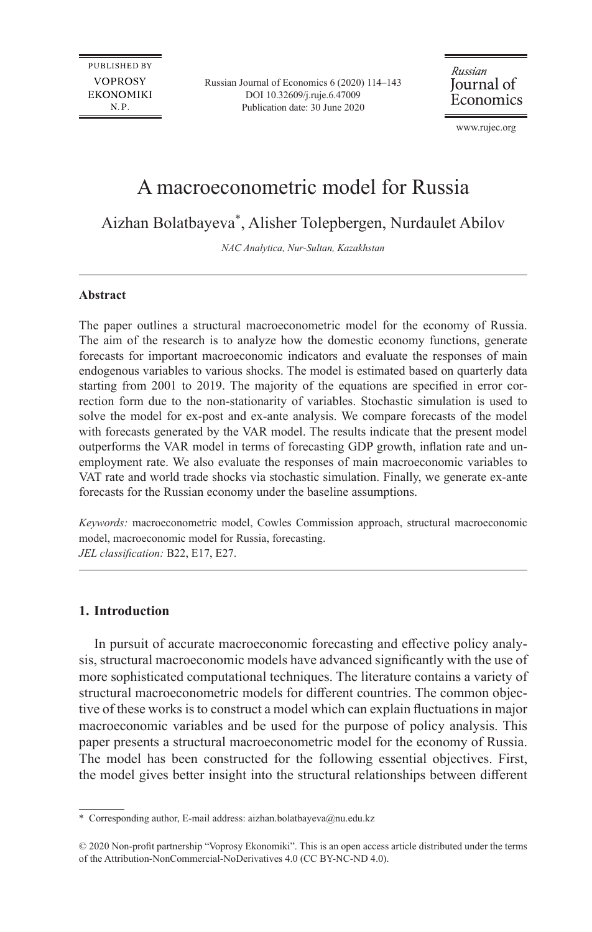Russian Journal of Economics 6 (2020) 114–143 [DOI 10.32609/j.ruje.6.47009](https://doi.org/10.32609/j.ruje.6.47009) Publication date: 30 June 2020

Russian Journal of Economics

[www.rujec.org](https://rujec.org/)

# A macroeconometric model for Russia

Aizhan Bolatbayeva\*, Alisher Tolepbergen, Nurdaulet Abilov

*NAC Analytica, Nur-Sultan, Kazakhstan*

#### **Abstract**

The paper outlines a structural macroeconometric model for the economy of Russia. The aim of the research is to analyze how the domestic economy functions, generate forecasts for important macroeconomic indicators and evaluate the responses of main endogenous variables to various shocks. The model is estimated based on quarterly data starting from 2001 to 2019. The majority of the equations are specified in error correction form due to the non-stationarity of variables. Stochastic simulation is used to solve the model for ex-post and ex-ante analysis. We compare forecasts of the model with forecasts generated by the VAR model. The results indicate that the present model outperforms the VAR model in terms of forecasting GDP growth, inflation rate and unemployment rate. We also evaluate the responses of main macroeconomic variables to VAT rate and world trade shocks via stochastic simulation. Finally, we generate ex-ante forecasts for the Russian economy under the baseline assumptions.

*Keywords:* macroeconometric model, Cowles Commission approach, structural macroeconomic model, macroeconomic model for Russia, forecasting. *JEL classification:* B22, E17, E27.

### **1. Introduction**

In pursuit of accurate macroeconomic forecasting and effective policy analysis, structural macroeconomic models have advanced significantly with the use of more sophisticated computational techniques. The literature contains a variety of structural macroeconometric models for different countries. The common objective of these works is to construct a model which can explain fluctuations in major macroeconomic variables and be used for the purpose of policy analysis. This paper presents a structural macroeconometric model for the economy of Russia. The model has been constructed for the following essential objectives. First, the model gives better insight into the structural relationships between different

<sup>\*</sup> Corresponding author, E-mail address: aizhan.bolatbayeva@nu.edu.kz

<sup>© 2020</sup> Non-profit partnership "Voprosy Ekonomiki". This is an open access article distributed under the terms of the [Attribution-NonCommercial-NoDerivatives 4.0 \(CC BY-NC-ND 4.0\)](https://creativecommons.org/licenses/by-nc-nd/4.0/).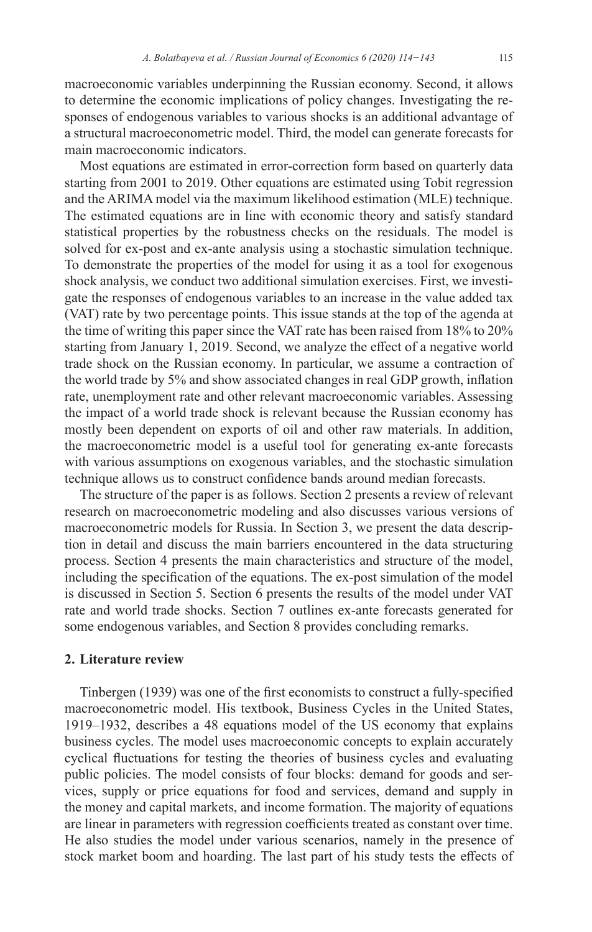macroeconomic variables underpinning the Russian economy. Second, it allows to determine the economic implications of policy changes. Investigating the responses of endogenous variables to various shocks is an additional advantage of a structural macroeconometric model. Third, the model can generate forecasts for main macroeconomic indicators.

Most equations are estimated in error-correction form based on quarterly data starting from 2001 to 2019. Other equations are estimated using Tobit regression and the ARIMA model via the maximum likelihood estimation (MLE) technique. The estimated equations are in line with economic theory and satisfy standard statistical properties by the robustness checks on the residuals. The model is solved for ex-post and ex-ante analysis using a stochastic simulation technique. To demonstrate the properties of the model for using it as a tool for exogenous shock analysis, we conduct two additional simulation exercises. First, we investigate the responses of endogenous variables to an increase in the value added tax (VAT) rate by two percentage points. This issue stands at the top of the agenda at the time of writing this paper since the VAT rate has been raised from 18% to 20% starting from January 1, 2019. Second, we analyze the effect of a negative world trade shock on the Russian economy. In particular, we assume a contraction of the world trade by 5% and show associated changes in real GDP growth, inflation rate, unemployment rate and other relevant macroeconomic variables. Assessing the impact of a world trade shock is relevant because the Russian economy has mostly been dependent on exports of oil and other raw materials. In addition, the macroeconometric model is a useful tool for generating ex-ante forecasts with various assumptions on exogenous variables, and the stochastic simulation technique allows us to construct confidence bands around median forecasts.

The structure of the paper is as follows. Section 2 presents a review of relevant research on macroeconometric modeling and also discusses various versions of macroeconometric models for Russia. In Section 3, we present the data description in detail and discuss the main barriers encountered in the data structuring process. Section 4 presents the main characteristics and structure of the model, including the specification of the equations. The ex-post simulation of the model is discussed in Section 5. Section 6 presents the results of the model under VAT rate and world trade shocks. Section 7 outlines ex-ante forecasts generated for some endogenous variables, and Section 8 provides concluding remarks.

### **2. Literature review**

Tinbergen (1939) was one of the first economists to construct a fully-specified macroeconometric model. His textbook, Business Cycles in the United States, 1919–1932, describes a 48 equations model of the US economy that explains business cycles. The model uses macroeconomic concepts to explain accurately cyclical fluctuations for testing the theories of business cycles and evaluating public policies. The model consists of four blocks: demand for goods and services, supply or price equations for food and services, demand and supply in the money and capital markets, and income formation. The majority of equations are linear in parameters with regression coefficients treated as constant over time. He also studies the model under various scenarios, namely in the presence of stock market boom and hoarding. The last part of his study tests the effects of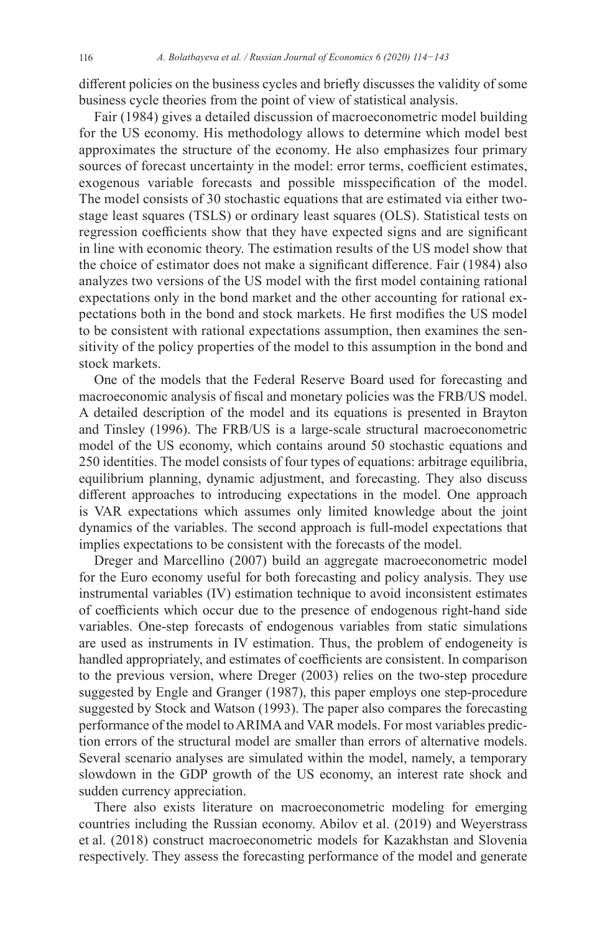different policies on the business cycles and briefly discusses the validity of some business cycle theories from the point of view of statistical analysis.

Fair (1984) gives a detailed discussion of macroeconometric model building for the US economy. His methodology allows to determine which model best approximates the structure of the economy. He also emphasizes four primary sources of forecast uncertainty in the model: error terms, coefficient estimates, exogenous variable forecasts and possible misspecification of the model. The model consists of 30 stochastic equations that are estimated via either twostage least squares (TSLS) or ordinary least squares (OLS). Statistical tests on regression coefficients show that they have expected signs and are significant in line with economic theory. The estimation results of the US model show that the choice of estimator does not make a significant difference. Fair (1984) also analyzes two versions of the US model with the first model containing rational expectations only in the bond market and the other accounting for rational expectations both in the bond and stock markets. He first modifies the US model to be consistent with rational expectations assumption, then examines the sensitivity of the policy properties of the model to this assumption in the bond and stock markets.

One of the models that the Federal Reserve Board used for forecasting and macroeconomic analysis of fiscal and monetary policies was the FRB/US model. A detailed description of the model and its equations is presented in Brayton and Tinsley (1996). The FRB/US is a large-scale structural macroeconometric model of the US economy, which contains around 50 stochastic equations and 250 identities. The model consists of four types of equations: arbitrage equilibria, equilibrium planning, dynamic adjustment, and forecasting. They also discuss different approaches to introducing expectations in the model. One approach is VAR expectations which assumes only limited knowledge about the joint dynamics of the variables. The second approach is full-model expectations that implies expectations to be consistent with the forecasts of the model.

Dreger and Marcellino (2007) build an aggregate macroeconometric model for the Euro economy useful for both forecasting and policy analysis. They use instrumental variables (IV) estimation technique to avoid inconsistent estimates of coefficients which occur due to the presence of endogenous right-hand side variables. One-step forecasts of endogenous variables from static simulations are used as instruments in IV estimation. Thus, the problem of endogeneity is handled appropriately, and estimates of coefficients are consistent. In comparison to the previous version, where Dreger (2003) relies on the two-step procedure suggested by Engle and Granger (1987), this paper employs one step-procedure suggested by Stock and Watson (1993). The paper also compares the forecasting performance of the model to ARIMA and VAR models. For most variables prediction errors of the structural model are smaller than errors of alternative models. Several scenario analyses are simulated within the model, namely, a temporary slowdown in the GDP growth of the US economy, an interest rate shock and sudden currency appreciation.

There also exists literature on macroeconometric modeling for emerging countries including the Russian economy. Abilov et al. (2019) and Weyerstrass et al. (2018) construct macroeconometric models for Kazakhstan and Slovenia respectively. They assess the forecasting performance of the model and generate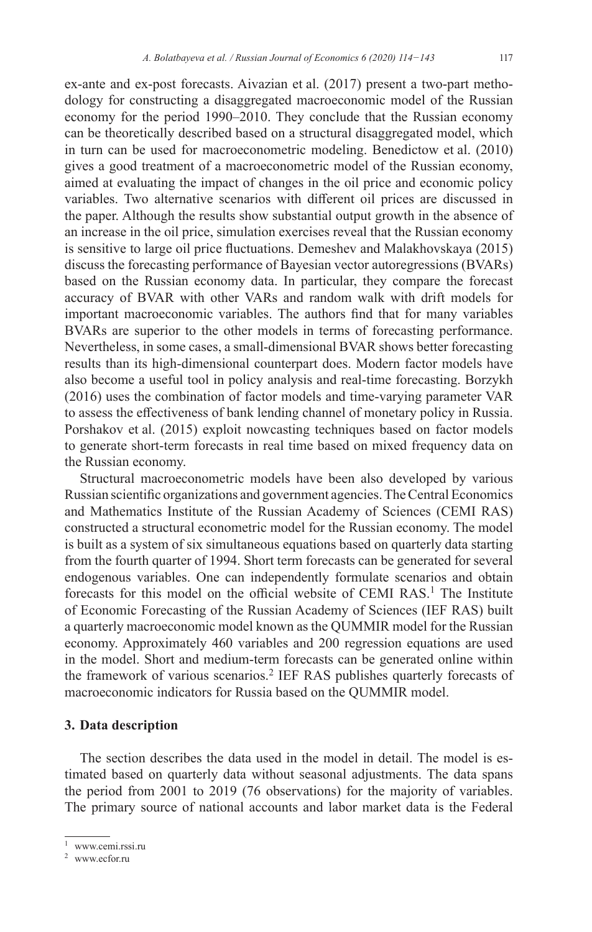ex-ante and ex-post forecasts. Aivazian et al. (2017) present a two-part methodology for constructing a disaggregated macroeconomic model of the Russian economy for the period 1990–2010. They conclude that the Russian economy can be theoretically described based on a structural disaggregated model, which in turn can be used for macroeconometric modeling. Benedictow et al. (2010) gives a good treatment of a macroeconometric model of the Russian economy, aimed at evaluating the impact of changes in the oil price and economic policy variables. Two alternative scenarios with different oil prices are discussed in the paper. Although the results show substantial output growth in the absence of an increase in the oil price, simulation exercises reveal that the Russian economy is sensitive to large oil price fluctuations. Demeshev and Malakhovskaya (2015) discuss the forecasting performance of Bayesian vector autoregressions (BVARs) based on the Russian economy data. In particular, they compare the forecast accuracy of BVAR with other VARs and random walk with drift models for important macroeconomic variables. The authors find that for many variables BVARs are superior to the other models in terms of forecasting performance. Nevertheless, in some cases, a small-dimensional BVAR shows better forecasting results than its high-dimensional counterpart does. Modern factor models have also become a useful tool in policy analysis and real-time forecasting. Borzykh (2016) uses the combination of factor models and time-varying parameter VAR to assess the effectiveness of bank lending channel of monetary policy in Russia. Porshakov et al. (2015) exploit nowcasting techniques based on factor models to generate short-term forecasts in real time based on mixed frequency data on the Russian economy.

Structural macroeconometric models have been also developed by various Russian scientific organizations and government agencies. TheCentral Economics and Mathematics Institute of the Russian Academy of Sciences (CEMI RAS) constructed a structural econometric model for the Russian economy. The model is built as a system of six simultaneous equations based on quarterly data starting from the fourth quarter of 1994. Short term forecasts can be generated for several endogenous variables. One can independently formulate scenarios and obtain forecasts for this model on the official website of CEMI RAS.<sup>1</sup> The Institute of Economic Forecasting of the Russian Academy of Sciences (IEF RAS) built a quarterly macroeconomic model known as the QUMMIR model for the Russian economy. Approximately 460 variables and 200 regression equations are used in the model. Short and medium-term forecasts can be generated online within the framework of various scenarios.<sup>2</sup> IEF RAS publishes quarterly forecasts of macroeconomic indicators for Russia based on the QUMMIR model.

### **3. Data description**

The section describes the data used in the model in detail. The model is estimated based on quarterly data without seasonal adjustments. The data spans the period from 2001 to 2019 (76 observations) for the majority of variables. The primary source of national accounts and labor market data is the Federal

<sup>1</sup> www.cemi.rssi.ru

<sup>2</sup> www.ecfor.ru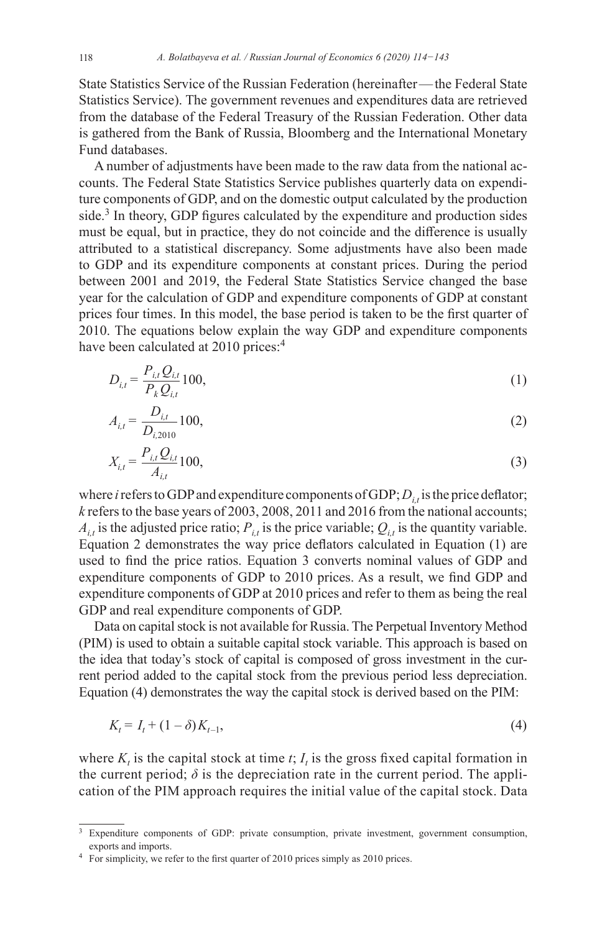State Statistics Service of the Russian Federation (hereinafter—the Federal State Statistics Service). The government revenues and expenditures data are retrieved from the database of the Federal Treasury of the Russian Federation. Other data is gathered from the Bank of Russia, Bloomberg and the International Monetary Fund databases.

A number of adjustments have been made to the raw data from the national accounts. The Federal State Statistics Service publishes quarterly data on expenditure components of GDP, and on the domestic output calculated by the production side.<sup>3</sup> In theory, GDP figures calculated by the expenditure and production sides must be equal, but in practice, they do not coincide and the difference is usually attributed to a statistical discrepancy. Some adjustments have also been made to GDP and its expenditure components at constant prices. During the period between 2001 and 2019, the Federal State Statistics Service changed the base year for the calculation of GDP and expenditure components of GDP at constant prices four times. In this model, the base period is taken to be the first quarter of 2010. The equations below explain the way GDP and expenditure components have been calculated at  $2010$  prices:<sup>4</sup>

$$
D_{i,t} = \frac{P_{i,t} Q_{i,t}}{P_k Q_{i,t}} 100,
$$
\n(1)

$$
A_{i,t} = \frac{D_{i,t}}{D_{i,2010}} 100,
$$
\n(2)

$$
X_{i,t} = \frac{P_{i,t} Q_{i,t}}{A_{i,t}} 100,
$$
\n(3)

where *i* refers to GDP and expenditure components of GDP;  $D_{i,t}$  is the price deflator; *k* refers to the base years of 2003, 2008, 2011 and 2016 from the national accounts;  $A_{i,t}$  is the adjusted price ratio;  $P_{i,t}$  is the price variable;  $Q_{i,t}$  is the quantity variable. Equation 2 demonstrates the way price deflators calculated in Equation (1) are used to find the price ratios. Equation 3 converts nominal values of GDP and expenditure components of GDP to 2010 prices. As a result, we find GDP and expenditure components of GDP at 2010 prices and refer to them as being the real GDP and real expenditure components of GDP.

Data on capital stock is not available for Russia. The Perpetual Inventory Method (PIM) is used to obtain a suitable capital stock variable. This approach is based on the idea that today's stock of capital is composed of gross investment in the current period added to the capital stock from the previous period less depreciation. Equation (4) demonstrates the way the capital stock is derived based on the PIM:

$$
K_t = I_t + (1 - \delta)K_{t-1},
$$
\n(4)

where  $K_t$  is the capital stock at time  $t$ ;  $I_t$  is the gross fixed capital formation in the current period;  $\delta$  is the depreciation rate in the current period. The application of the PIM approach requires the initial value of the capital stock. Data

<sup>3</sup> Expenditure components of GDP: private consumption, private investment, government consumption, exports and imports.

<sup>&</sup>lt;sup>4</sup> For simplicity, we refer to the first quarter of 2010 prices simply as 2010 prices.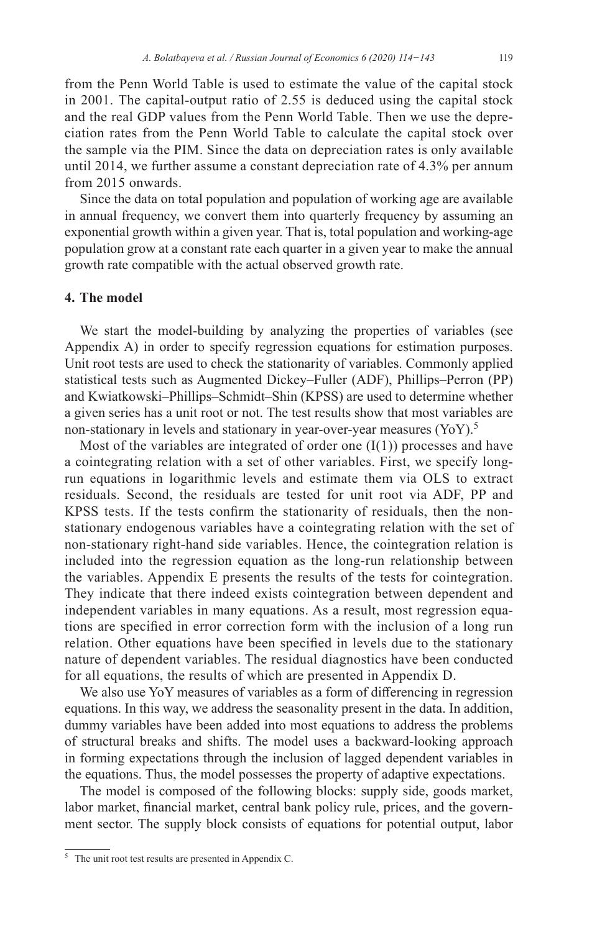from the Penn World Table is used to estimate the value of the capital stock in 2001. The capital-output ratio of 2.55 is deduced using the capital stock and the real GDP values from the Penn World Table. Then we use the depreciation rates from the Penn World Table to calculate the capital stock over the sample via the PIM. Since the data on depreciation rates is only available until 2014, we further assume a constant depreciation rate of 4.3% per annum from 2015 onwards.

Since the data on total population and population of working age are available in annual frequency, we convert them into quarterly frequency by assuming an exponential growth within a given year. That is, total population and working-age population grow at a constant rate each quarter in a given year to make the annual growth rate compatible with the actual observed growth rate.

### **4. The model**

We start the model-building by analyzing the properties of variables (see Appendix A) in order to specify regression equations for estimation purposes. Unit root tests are used to check the stationarity of variables. Commonly applied statistical tests such as Augmented Dickey–Fuller (ADF), Phillips–Perron (PP) and Kwiatkowski–Phillips–Schmidt–Shin (KPSS) are used to determine whether a given series has a unit root or not. The test results show that most variables are non-stationary in levels and stationary in year-over-year measures (YoY).<sup>5</sup>

Most of the variables are integrated of order one  $(I(1))$  processes and have a cointegrating relation with a set of other variables. First, we specify longrun equations in logarithmic levels and estimate them via OLS to extract residuals. Second, the residuals are tested for unit root via ADF, PP and KPSS tests. If the tests confirm the stationarity of residuals, then the nonstationary endogenous variables have a cointegrating relation with the set of non-stationary right-hand side variables. Hence, the cointegration relation is included into the regression equation as the long-run relationship between the variables. Appendix E presents the results of the tests for cointegration. They indicate that there indeed exists cointegration between dependent and independent variables in many equations. As a result, most regression equations are specified in error correction form with the inclusion of a long run relation. Other equations have been specified in levels due to the stationary nature of dependent variables. The residual diagnostics have been conducted for all equations, the results of which are presented in Appendix D.

We also use YoY measures of variables as a form of differencing in regression equations. In this way, we address the seasonality present in the data. In addition, dummy variables have been added into most equations to address the problems of structural breaks and shifts. The model uses a backward-looking approach in forming expectations through the inclusion of lagged dependent variables in the equations. Thus, the model possesses the property of adaptive expectations.

The model is composed of the following blocks: supply side, goods market, labor market, financial market, central bank policy rule, prices, and the government sector. The supply block consists of equations for potential output, labor

<sup>5</sup> The unit root test results are presented in Appendix C.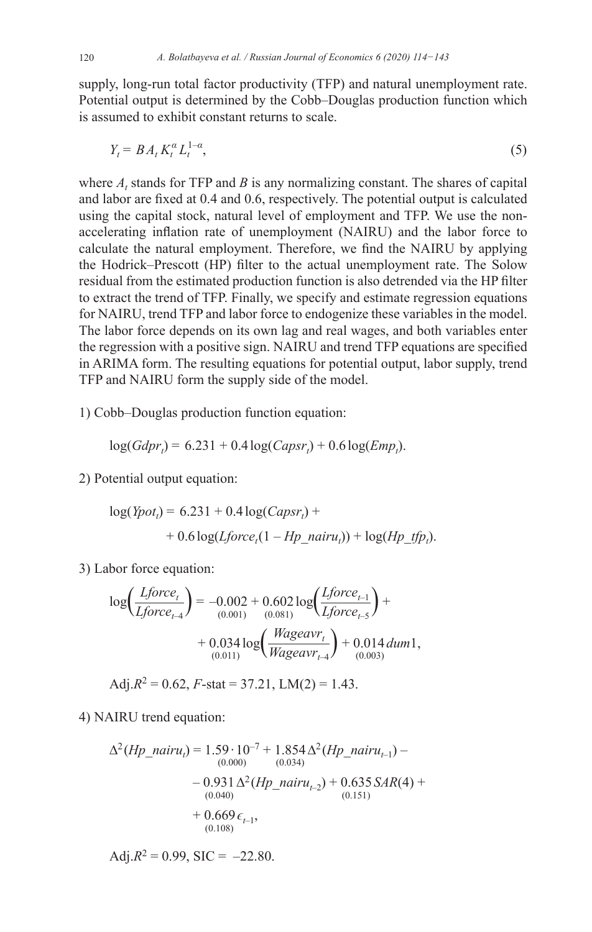supply, long-run total factor productivity (TFP) and natural unemployment rate. Potential output is determined by the Cobb–Douglas production function which is assumed to exhibit constant returns to scale.

$$
Y_t = BA_t K_t^a L_t^{1-a},\tag{5}
$$

where  $A_t$  stands for TFP and  $B$  is any normalizing constant. The shares of capital and labor are fixed at 0.4 and 0.6, respectively. The potential output is calculated using the capital stock, natural level of employment and TFP. We use the nonaccelerating inflation rate of unemployment (NAIRU) and the labor force to calculate the natural employment. Therefore, we find the NAIRU by applying the Hodrick–Prescott (HP) filter to the actual unemployment rate. The Solow residual from the estimated production function is also detrended via the HP filter to extract the trend of TFP. Finally, we specify and estimate regression equations for NAIRU, trend TFP and labor force to endogenize these variables in the model. The labor force depends on its own lag and real wages, and both variables enter the regression with a positive sign. NAIRU and trend TFP equations are specified in ARIMA form. The resulting equations for potential output, labor supply, trend TFP and NAIRU form the supply side of the model.

1) Cobb–Douglas production function equation:

$$
\log(Gdpr_t) = 6.231 + 0.4\log(Capsr_t) + 0.6\log(Emp_t).
$$

2) Potential output equation:

$$
log(Ypott) = 6.231 + 0.4 log(Capsrt) ++ 0.6 log(Lforcet(1 - Hp_nairut)) + log(Hp_tfpt).
$$

3) Labor force equation:

$$
\log\left(\frac{Lforce_t}{Lforce_{t-4}}\right) = -0.002 + 0.602 \log\left(\frac{Lforce_{t-1}}{Lforce_{t-5}}\right) +
$$
  
+ 0.034 \log\left(\frac{Wageavr\_t}{Wageavr\_{t-4}}\right) + 0.014 \, dum1,  
(0.011)

$$
Adj.R^2 = 0.62, F-stat = 37.21, LM(2) = 1.43.
$$

4) NAIRU trend equation:

$$
\Delta^{2}(Hp\_nairu_{t}) = 1.59 \cdot 10^{-7} + 1.854 \Delta^{2}(Hp\_nairu_{t-1}) - (0.000) \qquad (0.034)
$$

$$
- 0.931 \Delta^{2}(Hp\_nairu_{t-2}) + 0.635 SAR(4) + (0.040) \qquad (0.151)
$$

$$
+ 0.669 \epsilon_{t-1},
$$

$$
(0.108)
$$

Adj. $R^2 = 0.99$ , SIC = -22.80.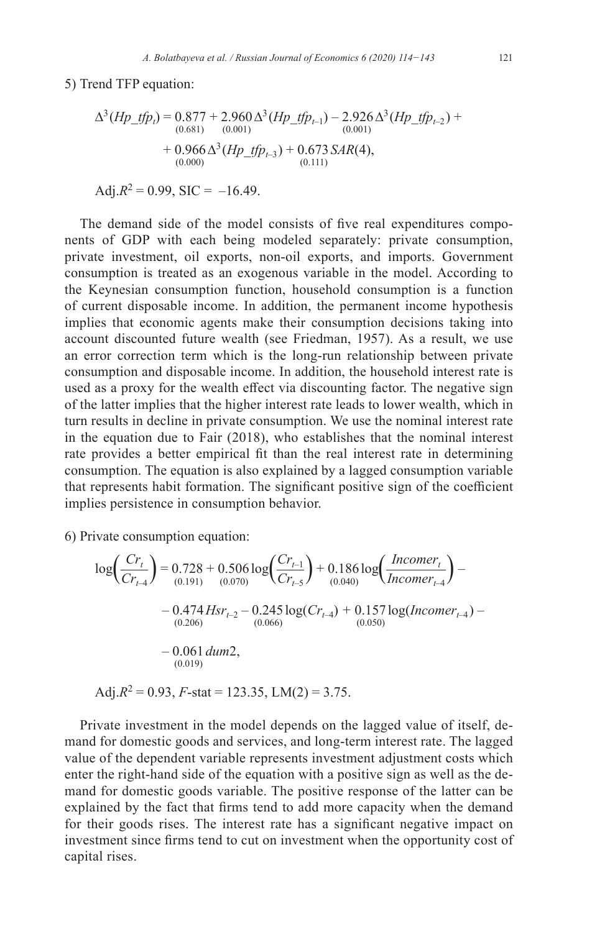5) Trend TFP equation:

$$
\Delta^3(Hp\_tfp_i) = 0.877 + 2.960 \Delta^3(Hp\_tfp_{i-1}) - 2.926 \Delta^3(Hp\_tfp_{i-2}) +
$$
  
\n(0.681) (0.001)  
\n
$$
+ 0.966 \Delta^3(Hp\_tfp_{i-3}) + 0.673 SAR(4),
$$
  
\n(0.111) (0.111)

$$
Adj.R^2 = 0.99, \, \text{SIC} = -16.49.
$$

The demand side of the model consists of five real expenditures components of GDP with each being modeled separately: private consumption, private investment, oil exports, non-oil exports, and imports. Government consumption is treated as an exogenous variable in the model. According to the Keynesian consumption function, household consumption is a function of current disposable income. In addition, the permanent income hypothesis implies that economic agents make their consumption decisions taking into account discounted future wealth (see Friedman, 1957). As a result, we use an error correction term which is the long-run relationship between private consumption and disposable income. In addition, the household interest rate is used as a proxy for the wealth effect via discounting factor. The negative sign of the latter implies that the higher interest rate leads to lower wealth, which in turn results in decline in private consumption. We use the nominal interest rate in the equation due to Fair (2018), who establishes that the nominal interest rate provides a better empirical fit than the real interest rate in determining consumption. The equation is also explained by a lagged consumption variable that represents habit formation. The significant positive sign of the coefficient implies persistence in consumption behavior.

6) Private consumption equation:

$$
\log\left(\frac{Cr_t}{Cr_{t-4}}\right) = 0.728 + 0.506 \log\left(\frac{Cr_{t-1}}{Cr_{t-5}}\right) + 0.186 \log\left(\frac{Incomer_t}{Incomer_{t-4}}\right) - 0.474 Hsr_{t-2} - 0.245 \log(Cr_{t-4}) + 0.157 \log(Incomer_{t-4}) - 0.060
$$
  
\n= 0.061 *dum2*,  
\n= 0.061 *dum2*,  
\n= 0.019

Adj. $R^2 = 0.93$ ,  $F$ -stat = 123.35, LM(2) = 3.75.

Private investment in the model depends on the lagged value of itself, demand for domestic goods and services, and long-term interest rate. The lagged value of the dependent variable represents investment adjustment costs which enter the right-hand side of the equation with a positive sign as well as the demand for domestic goods variable. The positive response of the latter can be explained by the fact that firms tend to add more capacity when the demand for their goods rises. The interest rate has a significant negative impact on investment since firms tend to cut on investment when the opportunity cost of capital rises.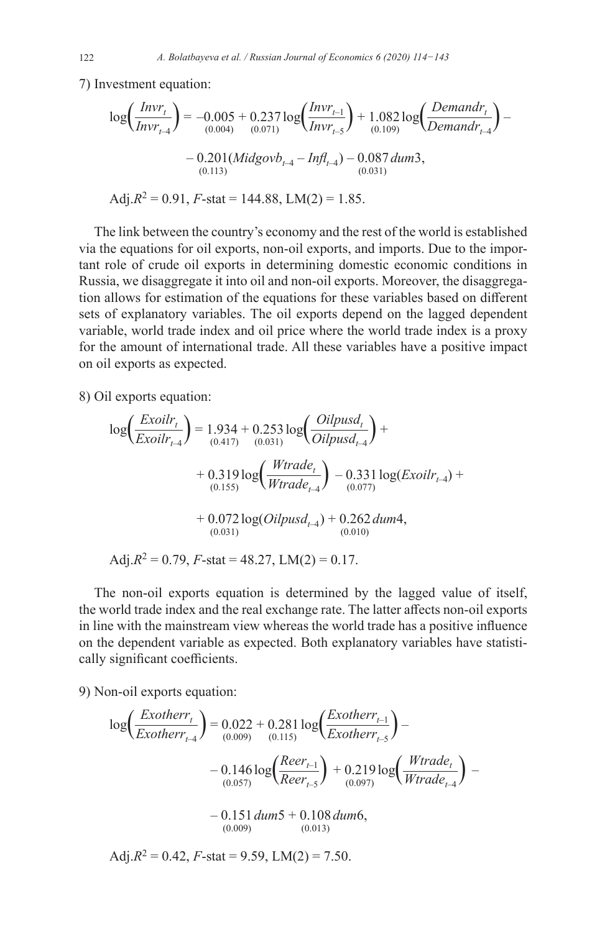7) Investment equation:

$$
\log\left(\frac{Invr_t}{Invr_{t-4}}\right) = -0.005 + 0.237 \log\left(\frac{Invr_{t-1}}{Invr_{t-5}}\right) + 1.082 \log\left(\frac{Denandr_t}{Denandr_{t-4}}\right) - 0.201(Midgovb_{t-4} - Inf_{t-4}) - 0.087 \,dum3,
$$
  
(0.113)  
Adj.R<sup>2</sup> = 0.91, F-stat = 144.88, LM(2) = 1.85.

The link between the country's economy and the rest of the world is established via the equations for oil exports, non-oil exports, and imports. Due to the important role of crude oil exports in determining domestic economic conditions in Russia, we disaggregate it into oil and non-oil exports. Moreover, the disaggregation allows for estimation of the equations for these variables based on different sets of explanatory variables. The oil exports depend on the lagged dependent variable, world trade index and oil price where the world trade index is a proxy for the amount of international trade. All these variables have a positive impact on oil exports as expected.

8) Oil exports equation:

$$
\log\left(\frac{Exoilr_t}{Exoilr_{t-4}}\right) = 1.934 + 0.253 \log\left(\frac{Oilpusd_t}{Oilpusd_{t-4}}\right) +
$$
  
+ 0.319 log $\left(\frac{Wtrade_t}{Wtrade_{t-4}}\right)$  – 0.331 log(Exoilr<sub>t-4</sub>) +  
+ 0.072 log(Oilpusd<sub>t-4</sub>) + 0.262 dum4,  
+ 0.072 log(Oilpusd<sub>t-4</sub>) + 0.262 dum4,  
(0.031) (0.010)  
Adj.R<sup>2</sup> = 0.79, F-stat = 48.27, LM(2) = 0.17.

The non-oil exports equation is determined by the lagged value of itself, the world trade index and the real exchange rate. The latter affects non-oil exports in line with the mainstream view whereas the world trade has a positive influence on the dependent variable as expected. Both explanatory variables have statistically significant coefficients.

9) Non-oil exports equation:

$$
\log\left(\frac{Exotherr_t}{Exotherr_{t-4}}\right) = 0.022 + 0.281 \log\left(\frac{Exotherr_{t-1}}{Exotherr_{t-5}}\right) - 0.146 \log\left(\frac{Reer_{t-1}}{Reer_{t-5}}\right) + 0.219 \log\left(\frac{Wtrade_t}{Wtrade_{t-4}}\right) - 0.151 \, dum5 + 0.108 \, dum6, \tag{0.009}
$$
\n
$$
Adj.R^2 = 0.42, F-stat = 9.59, LM(2) = 7.50.
$$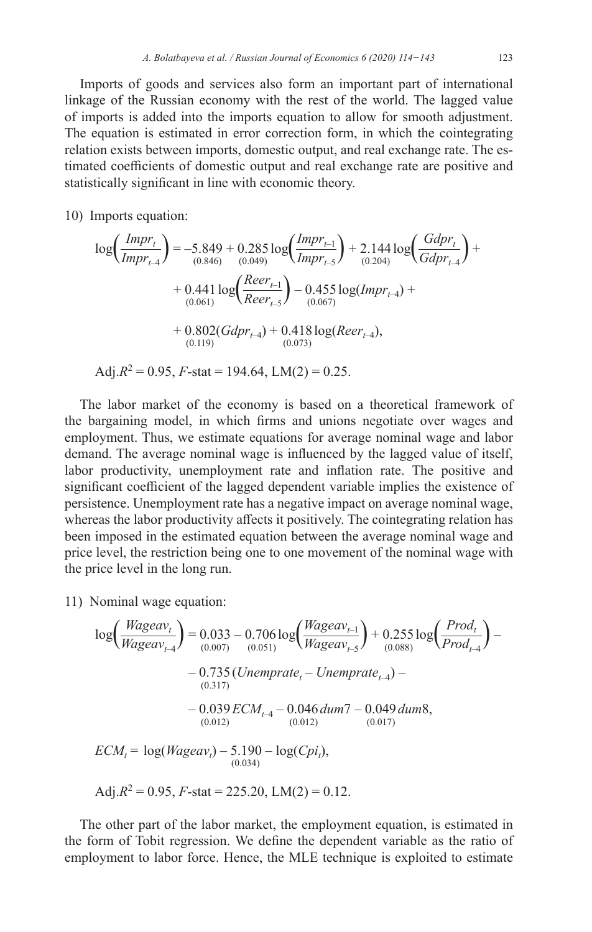Imports of goods and services also form an important part of international linkage of the Russian economy with the rest of the world. The lagged value of imports is added into the imports equation to allow for smooth adjustment. The equation is estimated in error correction form, in which the cointegrating relation exists between imports, domestic output, and real exchange rate. The estimated coefficients of domestic output and real exchange rate are positive and statistically significant in line with economic theory.

10) Imports equation:

$$
\log\left(\frac{Impr_t}{Impr_{t-4}}\right) = -5.849 + 0.285 \log\left(\frac{Impr_{t-1}}{Impr_{t-5}}\right) + 2.144 \log\left(\frac{Gdpr_t}{Gdpr_{t-4}}\right) +
$$
  
+ 0.441 \log\left(\frac{Reer\_{t-1}}{Reer\_{t-5}}\right) - 0.455 \log(Impr\_{t-4}) +  
+ 0.802(Gdpr\_{t-4}) + 0.418 \log(Reer\_{t-4}),  
 (0.119) (0.073)  
Adj.R<sup>2</sup> = 0.95, F-stat = 194.64, LM(2) = 0.25.

The labor market of the economy is based on a theoretical framework of the bargaining model, in which firms and unions negotiate over wages and employment. Thus, we estimate equations for average nominal wage and labor demand. The average nominal wage is influenced by the lagged value of itself, labor productivity, unemployment rate and inflation rate. The positive and significant coefficient of the lagged dependent variable implies the existence of persistence. Unemployment rate has a negative impact on average nominal wage, whereas the labor productivity affects it positively. The cointegrating relation has been imposed in the estimated equation between the average nominal wage and price level, the restriction being one to one movement of the nominal wage with the price level in the long run.

11) Nominal wage equation:

$$
log\left(\frac{Wageav_t}{Wageav_{t-4}}\right) = 0.033 - 0.706 log\left(\frac{Wageav_{t-1}}{Wageav_{t-5}}\right) + 0.255 log\left(\frac{Prod_t}{Prod_{t-4}}\right) - 0.735 (Unemprate_t - Unemprate_{t-4}) - 0.039 ECM_{t-4} - 0.046 dum7 - 0.049 dum8, \frac{(0.012)}{(0.012)} \qquad (0.012)
$$
\n
$$
ECM_t = log(Wageav_t) - 5.190 - log(Cpi_t), \qquad (0.017)
$$
\n
$$
AGj.R^2 = 0.95, F-stat = 225.20, LM(2) = 0.12.
$$

The other part of the labor market, the employment equation, is estimated in the form of Tobit regression. We define the dependent variable as the ratio of employment to labor force. Hence, the MLE technique is exploited to estimate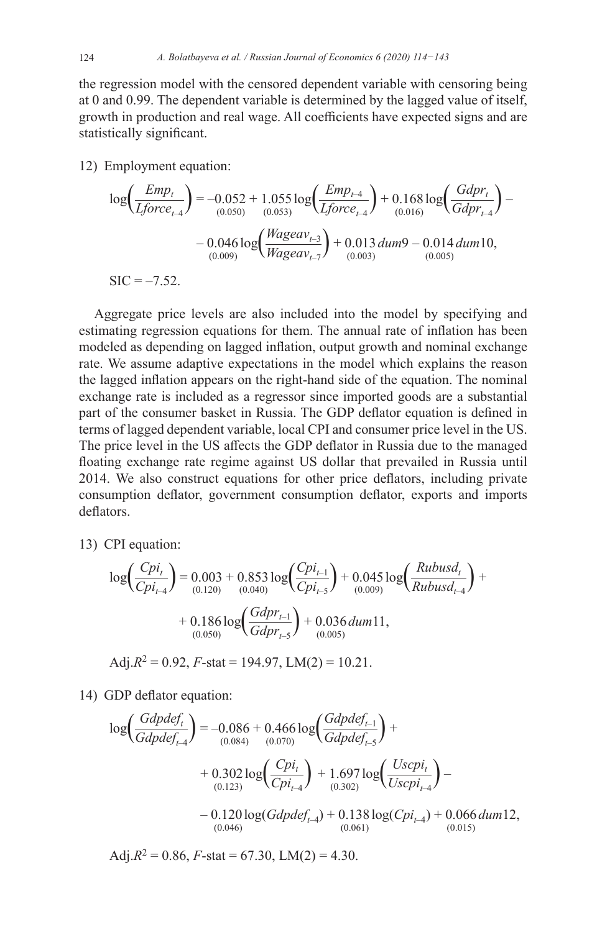124 *A. Bolatbayeva et al. / Russian Journal of Economics 6 (2020) 114−143*

the regression model with the censored dependent variable with censoring being at 0 and 0.99. The dependent variable is determined by the lagged value of itself, growth in production and real wage. All coefficients have expected signs and are statistically significant.

12) Employment equation:

$$
\log\left(\frac{Emp_t}{Lforce_{t-4}}\right) = -0.052 + 1.055 \log\left(\frac{Emp_{t-4}}{Lforce_{t-4}}\right) + 0.168 \log\left(\frac{Gdpr_t}{Gdpr_{t-4}}\right) - 0.046 \log\left(\frac{Wageav_{t-3}}{Wageav_{t-7}}\right) + 0.013 \,dum9 - 0.014 \,dum10,
$$
  
\nSIC = -7.52.

Aggregate price levels are also included into the model by specifying and estimating regression equations for them. The annual rate of inflation has been modeled as depending on lagged inflation, output growth and nominal exchange rate. We assume adaptive expectations in the model which explains the reason the lagged inflation appears on the right-hand side of the equation. The nominal exchange rate is included as a regressor since imported goods are a substantial part of the consumer basket in Russia. The GDP deflator equation is defined in terms of lagged dependent variable, local CPI and consumer price level in the US. The price level in the US affects the GDP deflator in Russia due to the managed floating exchange rate regime against US dollar that prevailed in Russia until 2014. We also construct equations for other price deflators, including private consumption deflator, government consumption deflator, exports and imports deflators.

13) CPI equation:

$$
\log\left(\frac{Cpi_{t}}{Cpi_{t-4}}\right) = 0.003 + 0.853 \log\left(\frac{Cpi_{t-1}}{Cpi_{t-5}}\right) + 0.045 \log\left(\frac{Rubusd_{t}}{Rubusd_{t-4}}\right) + 0.186 \log\left(\frac{Gdp_{t-1}}{Gdp_{t-5}}\right) + 0.036 \, dum11, + 0.186 \log\left(\frac{Gdp_{t-1}}{Gdp_{t-5}}\right) + 0.036 \, dum11,
$$

Adj. $R^2 = 0.92$ ,  $F$ -stat = 194.97, LM(2) = 10.21.

14) GDP deflator equation:

$$
\log\left(\frac{Gdpdef_{t}}{Gdpdef_{t-4}}\right) = -0.086 + 0.466 \log\left(\frac{Gdpdef_{t-1}}{Gdpdef_{t-5}}\right) +
$$
  
+ 0.302 log $\left(\frac{Cpi_{t}}{Cpi_{t-4}}\right)$  + 1.697 log $\left(\frac{Uscpi_{t}}{Uscpi_{t-4}}\right)$  -  
- 0.120 log $(Gdpdef_{t-4})$  + 0.138 log $(Cpi_{t-4})$  + 0.066 *du*m12,  
(0.046) (0.061) (0.061)

Adj. $R^2 = 0.86$ ,  $F$ -stat = 67.30, LM(2) = 4.30.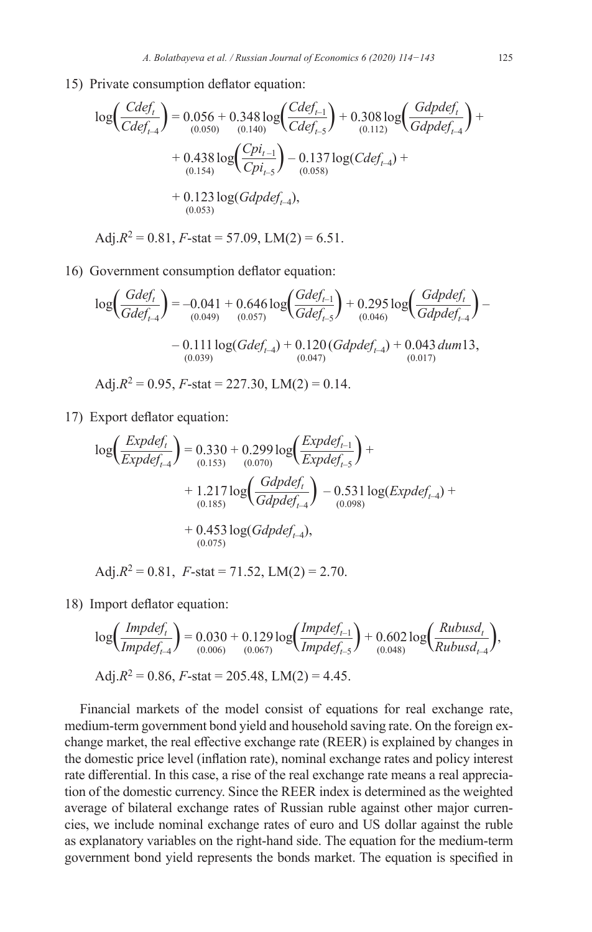15) Private consumption deflator equation:

$$
\log\left(\frac{Cdef_t}{Cdef_{t-4}}\right) = 0.056 + 0.348 \log\left(\frac{Cdef_{t-1}}{Cdef_{t-5}}\right) + 0.308 \log\left(\frac{Gdpdef_t}{Gdpdef_{t-4}}\right) + 0.438 \log\left(\frac{Cpi_{t-1}}{Cpi_{t-5}}\right) - 0.137 \log(Cdef_{t-4}) + 0.438 \log\left(\frac{Cpi_{t-1}}{Cpi_{t-5}}\right) - 0.137 \log(Cdef_{t-4}) + 0.123 \log(Gdpdef_{t-4}),
$$
\n(0.053)

Adj. $R^2 = 0.81$ ,  $F$ -stat = 57.09, LM(2) = 6.51.

16) Government consumption deflator equation:

$$
\log\left(\frac{Gdef_t}{Gdef_{t-4}}\right) = -0.041 + 0.646 \log\left(\frac{Gdef_{t-1}}{Gdef_{t-5}}\right) + 0.295 \log\left(\frac{Gdpdef_t}{Gdpdef_{t-4}}\right) - 0.111 \log(Gdef_{t-4}) + 0.120 \left(Gdpdef_{t-4}\right) + 0.043 \, dum13, \tag{0.039}
$$

Adj. $R^2 = 0.95$ ,  $F$ -stat = 227.30, LM(2) = 0.14.

17) Export deflator equation:

$$
\log\left(\frac{Expdef_t}{Expdef_{t-4}}\right) = 0.330 + 0.299 \log\left(\frac{Expdef_{t-1}}{Expdef_{t-5}}\right) + \\ + 1.217 \log\left(\frac{Gdpdef_t}{Gdpdef_{t-4}}\right) - 0.531 \log(Expdef_{t-4}) + \\ + 0.453 \log(Gdpdef_{t-4}), \\ + 0.453 \log(Gdpdef_{t-4}),
$$

Adj. $R^2 = 0.81$ ,  $F$ -stat = 71.52, LM(2) = 2.70.

18) Import deflator equation:

$$
\log\left(\frac{Impdef_1}{Impdef_{t-4}}\right) = 0.030 + 0.129 \log\left(\frac{Impdef_{t-1}}{Impdef_{t-5}}\right) + 0.602 \log\left(\frac{Rubusd_t}{Rubusd_{t-4}}\right),
$$
  
Adj. $R^2 = 0.86$ , *F*-stat = 205.48, LM(2) = 4.45.

Financial markets of the model consist of equations for real exchange rate, medium-term government bond yield and household saving rate. On the foreign exchange market, the real effective exchange rate (REER) is explained by changes in the domestic price level (inflation rate), nominal exchange rates and policy interest rate differential. In this case, a rise of the real exchange rate means a real appreciation of the domestic currency. Since the REER index is determined as the weighted average of bilateral exchange rates of Russian ruble against other major currencies, we include nominal exchange rates of euro and US dollar against the ruble as explanatory variables on the right-hand side. The equation for the medium-term government bond yield represents the bonds market. The equation is specified in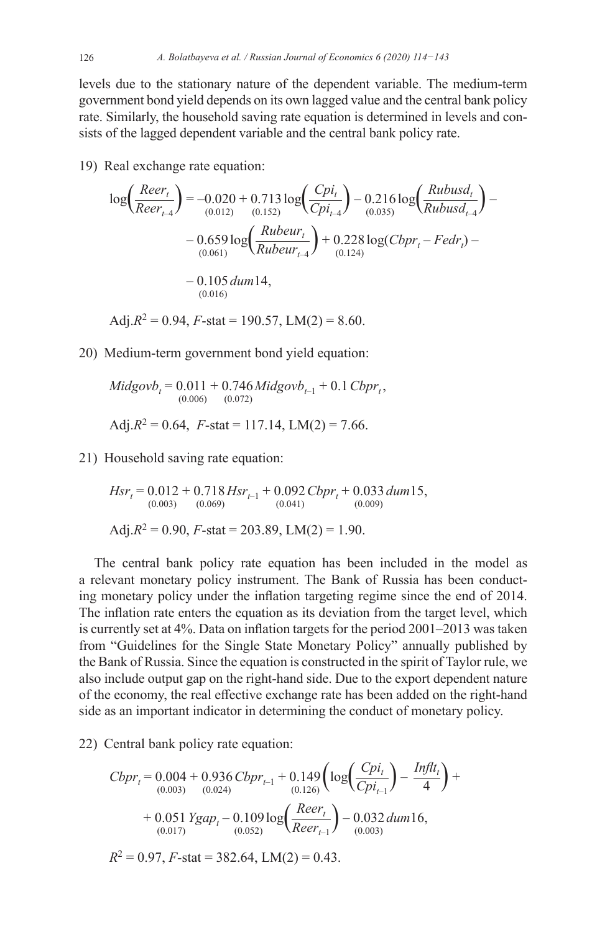126 *A. Bolatbayeva et al. / Russian Journal of Economics 6 (2020) 114−143*

levels due to the stationary nature of the dependent variable. The medium-term government bond yield depends on its own lagged value and the central bank policy rate. Similarly, the household saving rate equation is determined in levels and consists of the lagged dependent variable and the central bank policy rate.

19) Real exchange rate equation:

$$
\log\left(\frac{Reer_t}{Reer_{t-4}}\right) = -0.020 + 0.713 \log\left(\frac{Cpi_t}{Cpi_{t-4}}\right) - 0.216 \log\left(\frac{Rubusd_t}{Rubusd_{t-4}}\right) - 0.659 \log\left(\frac{Rubur_t}{Rubusd_{t-4}}\right) + 0.228 \log(Cbpr_t - Fedr_t) - 0.105 \, dum14, \tag{0.016}
$$

Adj. $R^2 = 0.94$ ,  $F$ -stat = 190.57, LM(2) = 8.60.

20) Medium-term government bond yield equation:

$$
Midgovb_t = 0.011 + 0.746 Midgovb_{t-1} + 0.1 Cbpr_t,
$$
  
(0.006) (0.072)  
Adj.R<sup>2</sup> = 0.64, *F*-stat = 117.14, LM(2) = 7.66.

21) Household saving rate equation:

$$
Hsr_t = 0.012 + 0.718 Hsr_{t-1} + 0.092 Cbr_t + 0.033 dum15,(0.003) (0.069) (0.041) (0.009)Adj.R2 = 0.90, F-stat = 203.89, LM(2) = 1.90.
$$

The central bank policy rate equation has been included in the model as a relevant monetary policy instrument. The Bank of Russia has been conducting monetary policy under the inflation targeting regime since the end of 2014. The inflation rate enters the equation as its deviation from the target level, which is currently set at 4%. Data on inflation targets for the period 2001–2013 was taken from "Guidelines for the Single State Monetary Policy" annually published by the Bank of Russia. Since the equation is constructed in the spirit of Taylor rule, we also include output gap on the right-hand side. Due to the export dependent nature of the economy, the real effective exchange rate has been added on the right-hand side as an important indicator in determining the conduct of monetary policy.

22) Central bank policy rate equation:

$$
Cbr_t = 0.004 + 0.936 Cbr_{t-1} + 0.149 \left( \log \left( \frac{Cpi_t}{Cpi_{t-1}} \right) - \frac{Inft_t}{4} \right) +
$$
  
+ 0.051 Ygap\_t - 0.109 log  $\left( \frac{Reer_t}{Reer_{t-1}} \right)$  - 0.032 dum16,  
(0.017)  

$$
R^2 = 0.97, F-stat = 382.64, LM(2) = 0.43.
$$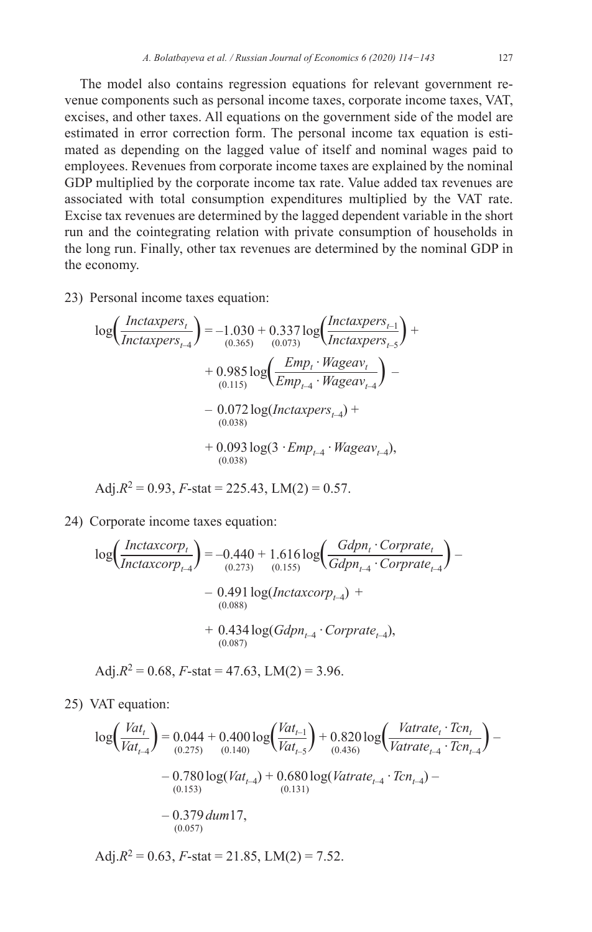The model also contains regression equations for relevant government revenue components such as personal income taxes, corporate income taxes, VAT, excises, and other taxes. All equations on the government side of the model are estimated in error correction form. The personal income tax equation is estimated as depending on the lagged value of itself and nominal wages paid to employees. Revenues from corporate income taxes are explained by the nominal GDP multiplied by the corporate income tax rate. Value added tax revenues are associated with total consumption expenditures multiplied by the VAT rate. Excise tax revenues are determined by the lagged dependent variable in the short run and the cointegrating relation with private consumption of households in the long run. Finally, other tax revenues are determined by the nominal GDP in the economy.

23) Personal income taxes equation:

$$
log\left(\frac{Intaxpers_t}{Intaxpers_{t-4}}\right) = -1.030 + 0.337 log\left(\frac{Intaxpers_{t-1}}{Intaxpers_{t-5}}\right) + 0.985 log\left(\frac{Emp_t \cdot Wageav_t}{Emp_{t-4} \cdot Wageav_{t-4}}\right) - 0.072 log(Intaxpers_{t-4}) + 0.093 log(3 \cdot Emp_{t-4} \cdot Wageav_{t-4}),
$$

$$
Adj.R^2 = 0.93, F-stat = 225.43, LM(2) = 0.57.
$$

24) Corporate income taxes equation:

$$
\log \left( \frac{Intaxcorp_t}{Intaxcorp_{t-4}} \right) = -0.440 + 1.616 \log \left( \frac{Gdpn_t \cdot Corprate_t}{Gdpn_{t-4} \cdot Corprate_{t-4}} \right) - 0.491 \log (Intaxcorp_{t-4}) + 0.434 \log (Gdpn_{t-4} \cdot Corprate_{t-4}),
$$
\n
$$
+ 0.434 \log (Gdpn_{t-4} \cdot Corprate_{t-4}),
$$

$$
Adj.R^2 = 0.68, F-stat = 47.63, LM(2) = 3.96.
$$

25) VAT equation:

$$
log\left(\frac{Vat_t}{Vat_{t-4}}\right) = 0.044 + 0.400 log\left(\frac{Vat_{t-1}}{Vat_{t-5}}\right) + 0.820 log\left(\frac{Vat_{t} \cdot Tcn_t}{Vatrate_{t-4} \cdot Tcn_{t-4}}\right) - 0.780 log(Vat_{t-4}) + 0.680 log(Vatrate_{t-4} \cdot Tcn_{t-4}) - 0.780 log(Vat_{t-4}) + 0.680 log(Vatrate_{t-4} \cdot Tcn_{t-4}) - 0.379 dum17,- 0.379 dum17,
$$

Adj. $R^2 = 0.63$ ,  $F$ -stat = 21.85, LM(2) = 7.52.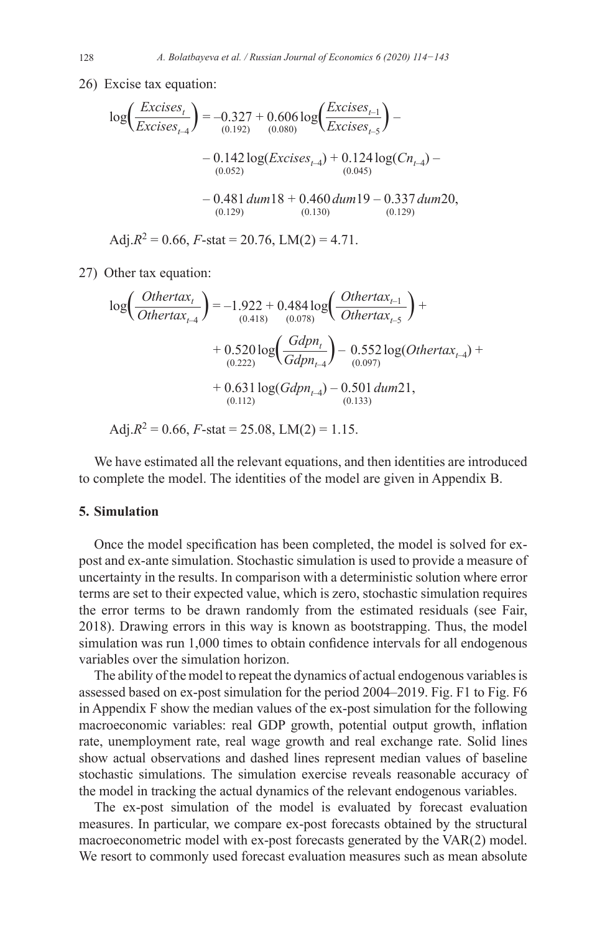26) Excise tax equation:

$$
\log\left(\frac{Excises_t}{Excises_{t-4}}\right) = -0.327 + 0.606 \log\left(\frac{Excises_{t-1}}{Excises_{t-5}}\right) - 0.142 \log\left(\frac{Excises_{t-4}}{Excises_{t-4}}\right) + 0.124 \log\left(\frac{Cn_{t-4}}{0.052}\right) - 0.142 \log\left(\frac{Excises_{t-4}}{0.045}\right) + 0.124 \log\left(\frac{Cn_{t-4}}{0.045}\right) - 0.481 \frac{dum18 + 0.460 \frac{dum19 - 0.337 \frac{dum20}{0.129}}{0.130}}
$$

Adj. $R^2 = 0.66$ ,  $F$ -stat = 20.76, LM(2) = 4.71.

27) Other tax equation:

$$
\log\left(\frac{Othertax_{t}}{Othertax_{t-4}}\right) = -1.922 + 0.484 \log\left(\frac{Othertax_{t-1}}{Othertax_{t-5}}\right) +
$$
  
+ 0.520 log $\left(\frac{Gdpn_{t}}{Gdpn_{t-4}}\right) - 0.552 \log(Othertax_{t-4}) +$   
+ 0.631 log $(Gdpn_{t-4}) - 0.501$  dum21,  
(0.112) (0.113)

Adj. $R^2 = 0.66$ ,  $F$ -stat = 25.08, LM(2) = 1.15.

We have estimated all the relevant equations, and then identities are introduced to complete the model. The identities of the model are given in Appendix B.

### **5. Simulation**

Once the model specification has been completed, the model is solved for expost and ex-ante simulation. Stochastic simulation is used to provide a measure of uncertainty in the results. In comparison with a deterministic solution where error terms are set to their expected value, which is zero, stochastic simulation requires the error terms to be drawn randomly from the estimated residuals (see Fair, 2018). Drawing errors in this way is known as bootstrapping. Thus, the model simulation was run 1,000 times to obtain confidence intervals for all endogenous variables over the simulation horizon.

The ability of the model to repeat the dynamics of actual endogenous variables is assessed based on ex-post simulation for the period 2004–2019. Fig. F1 to Fig. F6 in Appendix F show the median values of the ex-post simulation for the following macroeconomic variables: real GDP growth, potential output growth, inflation rate, unemployment rate, real wage growth and real exchange rate. Solid lines show actual observations and dashed lines represent median values of baseline stochastic simulations. The simulation exercise reveals reasonable accuracy of the model in tracking the actual dynamics of the relevant endogenous variables.

The ex-post simulation of the model is evaluated by forecast evaluation measures. In particular, we compare ex-post forecasts obtained by the structural macroeconometric model with ex-post forecasts generated by the VAR(2) model. We resort to commonly used forecast evaluation measures such as mean absolute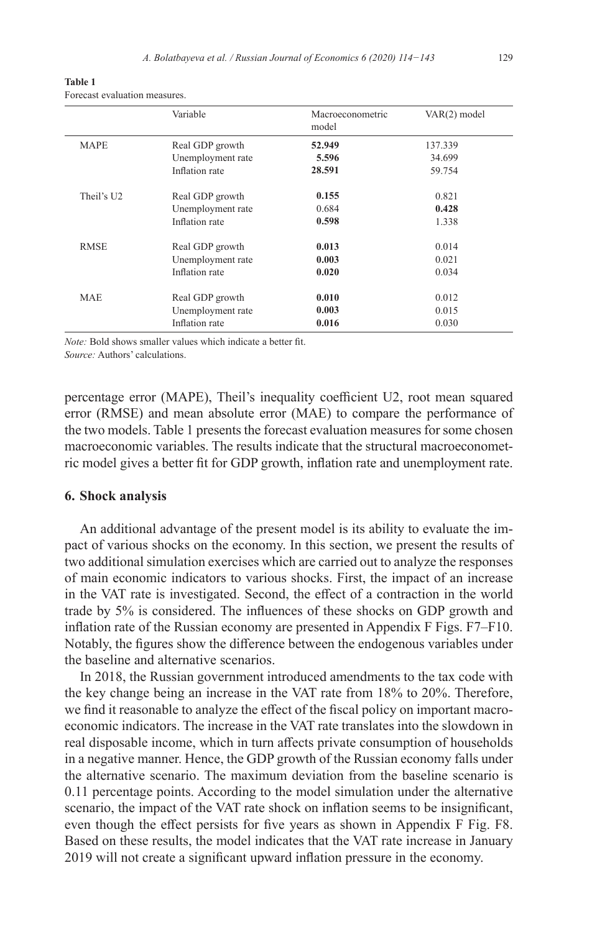| таріе т |                               |  |
|---------|-------------------------------|--|
|         | Forecast evaluation measures. |  |

**Table 1**

|             | Variable          | Macroeconometric<br>model | VAR(2) model |
|-------------|-------------------|---------------------------|--------------|
| <b>MAPE</b> | Real GDP growth   | 52.949                    | 137.339      |
|             | Unemployment rate | 5.596                     | 34.699       |
|             | Inflation rate    | 28.591                    | 59.754       |
| Theil's U2  | Real GDP growth   | 0.155                     | 0.821        |
|             | Unemployment rate | 0.684                     | 0.428        |
|             | Inflation rate    | 0.598                     | 1.338        |
| <b>RMSE</b> | Real GDP growth   | 0.013                     | 0.014        |
|             | Unemployment rate | 0.003                     | 0.021        |
|             | Inflation rate    | 0.020                     | 0.034        |
| <b>MAE</b>  | Real GDP growth   | 0.010                     | 0.012        |
|             | Unemployment rate | 0.003                     | 0.015        |
|             | Inflation rate    | 0.016                     | 0.030        |

*Note:* Bold shows smaller values which indicate a better fit. *Source:* Authors' calculations.

percentage error (MAPE), Theil's inequality coefficient U2, root mean squared error (RMSE) and mean absolute error (MAE) to compare the performance of the two models. Table 1 presents the forecast evaluation measures for some chosen macroeconomic variables. The results indicate that the structural macroeconometric model gives a better fit for GDP growth, inflation rate and unemployment rate.

#### **6. Shock analysis**

An additional advantage of the present model is its ability to evaluate the impact of various shocks on the economy. In this section, we present the results of two additional simulation exercises which are carried out to analyze the responses of main economic indicators to various shocks. First, the impact of an increase in the VAT rate is investigated. Second, the effect of a contraction in the world trade by 5% is considered. The influences of these shocks on GDP growth and inflation rate of the Russian economy are presented in Appendix F Figs. F7–F10. Notably, the figures show the difference between the endogenous variables under the baseline and alternative scenarios.

In 2018, the Russian government introduced amendments to the tax code with the key change being an increase in the VAT rate from 18% to 20%. Therefore, we find it reasonable to analyze the effect of the fiscal policy on important macroeconomic indicators. The increase in the VAT rate translates into the slowdown in real disposable income, which in turn affects private consumption of households in a negative manner. Hence, the GDP growth of the Russian economy falls under the alternative scenario. The maximum deviation from the baseline scenario is 0.11 percentage points. According to the model simulation under the alternative scenario, the impact of the VAT rate shock on inflation seems to be insignificant, even though the effect persists for five years as shown in Appendix F Fig. F8. Based on these results, the model indicates that the VAT rate increase in January 2019 will not create a significant upward inflation pressure in the economy.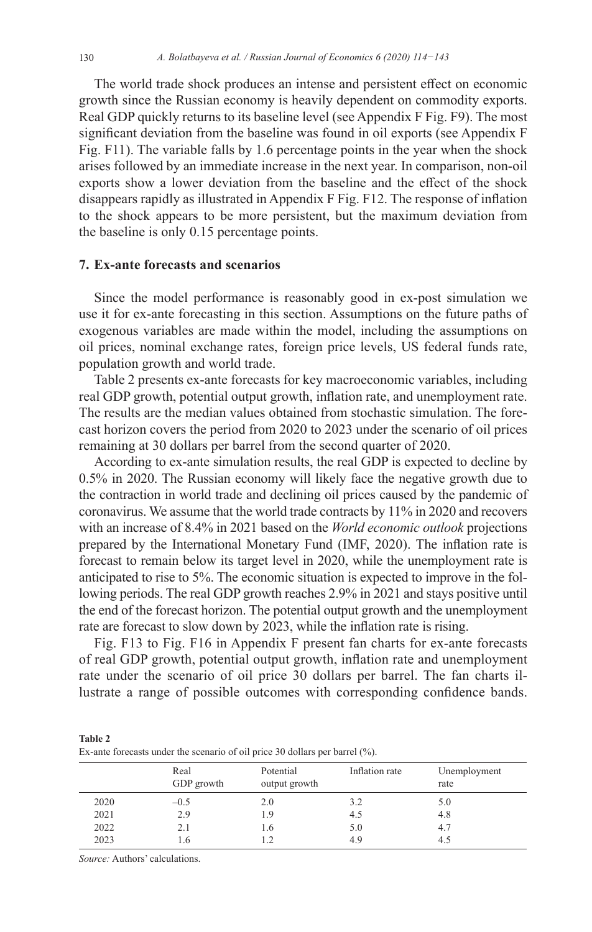The world trade shock produces an intense and persistent effect on economic growth since the Russian economy is heavily dependent on commodity exports. Real GDP quickly returns to its baseline level (see Appendix F Fig. F9). The most significant deviation from the baseline was found in oil exports (see Appendix F Fig. F11). The variable falls by 1.6 percentage points in the year when the shock arises followed by an immediate increase in the next year. In comparison, non-oil exports show a lower deviation from the baseline and the effect of the shock disappears rapidly as illustrated in Appendix F Fig. F12. The response of inflation to the shock appears to be more persistent, but the maximum deviation from the baseline is only 0.15 percentage points.

### **7. Ex-ante forecasts and scenarios**

Since the model performance is reasonably good in ex-post simulation we use it for ex-ante forecasting in this section. Assumptions on the future paths of exogenous variables are made within the model, including the assumptions on oil prices, nominal exchange rates, foreign price levels, US federal funds rate, population growth and world trade.

Table 2 presents ex-ante forecasts for key macroeconomic variables, including real GDP growth, potential output growth, inflation rate, and unemployment rate. The results are the median values obtained from stochastic simulation. The forecast horizon covers the period from 2020 to 2023 under the scenario of oil prices remaining at 30 dollars per barrel from the second quarter of 2020.

According to ex-ante simulation results, the real GDP is expected to decline by 0.5% in 2020. The Russian economy will likely face the negative growth due to the contraction in world trade and declining oil prices caused by the pandemic of coronavirus. We assume that the world trade contracts by 11% in 2020 and recovers with an increase of 8.4% in 2021 based on the *World economic outlook* projections prepared by the International Monetary Fund (IMF, 2020). The inflation rate is forecast to remain below its target level in 2020, while the unemployment rate is anticipated to rise to 5%. The economic situation is expected to improve in the following periods. The real GDP growth reaches 2.9% in 2021 and stays positive until the end of the forecast horizon. The potential output growth and the unemployment rate are forecast to slow down by 2023, while the inflation rate is rising.

Fig. F13 to Fig. F16 in Appendix F present fan charts for ex-ante forecasts of real GDP growth, potential output growth, inflation rate and unemployment rate under the scenario of oil price 30 dollars per barrel. The fan charts illustrate a range of possible outcomes with corresponding confidence bands.

| <b>Table 2</b>                                                               |  |
|------------------------------------------------------------------------------|--|
| Ex-ante forecasts under the scenario of oil price 30 dollars per barrel (%). |  |
|                                                                              |  |

|      | Real<br>GDP growth | Potential<br>output growth | Inflation rate | Unemployment<br>rate |
|------|--------------------|----------------------------|----------------|----------------------|
| 2020 | $-0.5$             | 2.0                        | 3.2            | 5.0                  |
| 2021 | 2.9                | 1.9                        | 4.5            | 4.8                  |
| 2022 | 2.1                | 1.6                        | 5.0            | 4.7                  |
| 2023 | .6                 | 1.2                        | 4.9            | 4.5                  |

*Source:* Authors' calculations.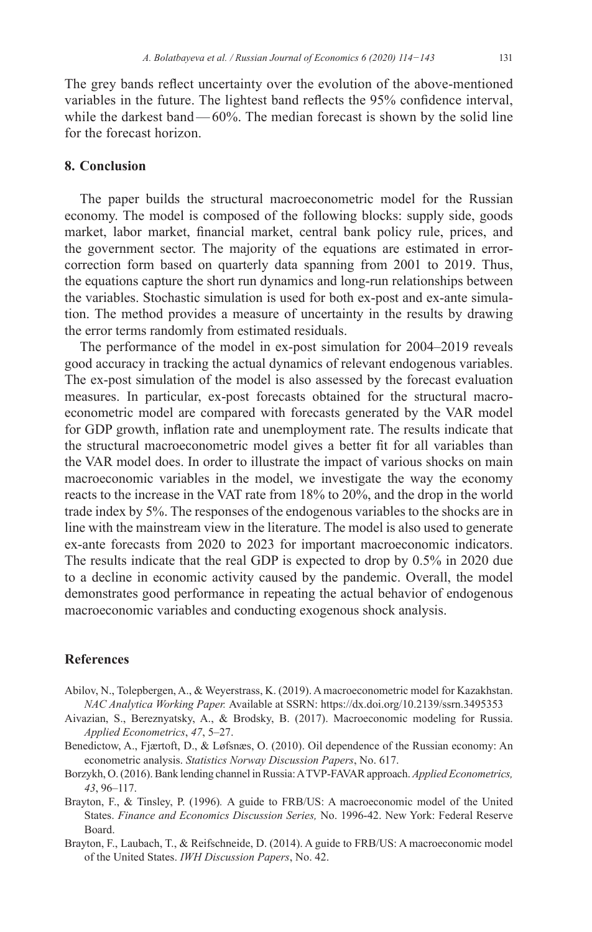The grey bands reflect uncertainty over the evolution of the above-mentioned

variables in the future. The lightest band reflects the 95% confidence interval, while the darkest band—60%. The median forecast is shown by the solid line for the forecast horizon.

### **8. Conclusion**

The paper builds the structural macroeconometric model for the Russian economy. The model is composed of the following blocks: supply side, goods market, labor market, financial market, central bank policy rule, prices, and the government sector. The majority of the equations are estimated in errorcorrection form based on quarterly data spanning from 2001 to 2019. Thus, the equations capture the short run dynamics and long-run relationships between the variables. Stochastic simulation is used for both ex-post and ex-ante simulation. The method provides a measure of uncertainty in the results by drawing the error terms randomly from estimated residuals.

The performance of the model in ex-post simulation for 2004–2019 reveals good accuracy in tracking the actual dynamics of relevant endogenous variables. The ex-post simulation of the model is also assessed by the forecast evaluation measures. In particular, ex-post forecasts obtained for the structural macroeconometric model are compared with forecasts generated by the VAR model for GDP growth, inflation rate and unemployment rate. The results indicate that the structural macroeconometric model gives a better fit for all variables than the VAR model does. In order to illustrate the impact of various shocks on main macroeconomic variables in the model, we investigate the way the economy reacts to the increase in the VAT rate from 18% to 20%, and the drop in the world trade index by 5%. The responses of the endogenous variables to the shocks are in line with the mainstream view in the literature. The model is also used to generate ex-ante forecasts from 2020 to 2023 for important macroeconomic indicators. The results indicate that the real GDP is expected to drop by 0.5% in 2020 due to a decline in economic activity caused by the pandemic. Overall, the model demonstrates good performance in repeating the actual behavior of endogenous macroeconomic variables and conducting exogenous shock analysis.

### **References**

- Abilov, N., Tolepbergen, A., & Weyerstrass, K. (2019). Amacroeconometric model for Kazakhstan. *NAC Analytica Working Paper.* Available at SSRN:<https://dx.doi.org/10.2139/ssrn.3495353>
- Aivazian, S., Bereznyatsky, A., & Brodsky, B. (2017). Macroeconomic modeling for Russia. *Applied Econometrics*, *47*, 5–27.
- Benedictow, A., Fjærtoft, D., & Løfsnæs, O. (2010). Oil dependence of the Russian economy: An econometric analysis. *Statistics Norway Discussion Papers*, No. 617.
- Borzykh, O. (2016). Bank lending channel in Russia: ATVP-FAVAR approach. *Applied Econometrics, 43*, 96–117.
- Brayton, F., & Tinsley, P. (1996)*.* A guide to FRB/US: A macroeconomic model of the United States. *Finance and Economics Discussion Series,* No. 1996-42. New York: Federal Reserve Board.
- Brayton, F., Laubach, T., & Reifschneide, D. (2014). A guide to FRB/US: A macroeconomic model of the United States. *IWH Discussion Papers*, No. 42.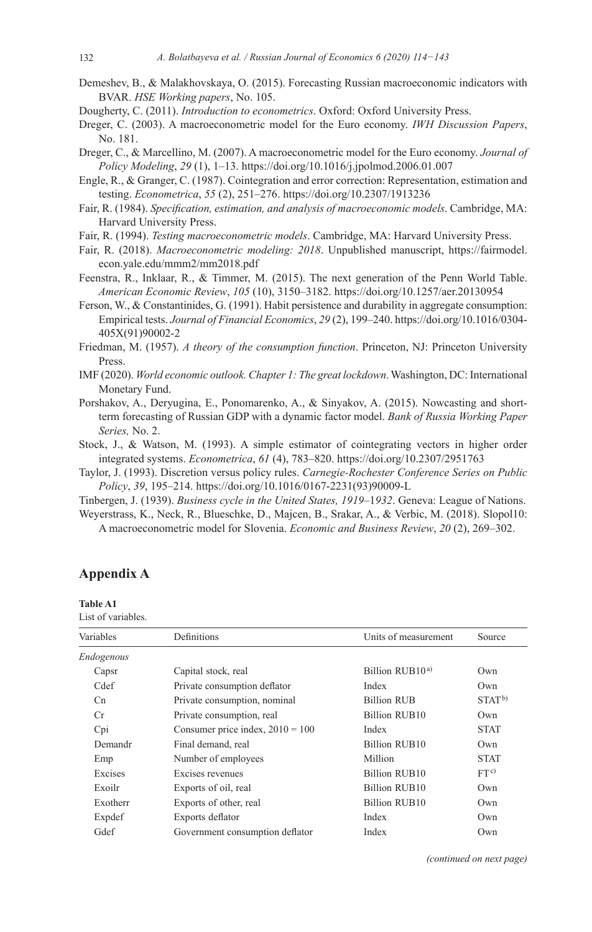- Demeshev, B., & Malakhovskaya, O. (2015). Forecasting Russian macroeconomic indicators with BVAR. *HSE Working papers*, No. 105.
- Dougherty, C. (2011). *Introduction to econometrics*. Oxford: Oxford University Press.
- Dreger, C. (2003). A macroeconometric model for the Euro economy. *IWH Discussion Papers*, No. 181.
- Dreger, C., & Marcellino, M. (2007). A macroeconometric model for the Euro economy. *Journal of Policy Modeling*, *29* (1), 1–13. <https://doi.org/10.1016/j.jpolmod.2006.01.007>
- Engle, R., & Granger, C. (1987). Cointegration and error correction: Representation, estimation and testing. *Econometrica*, *55* (2), 251–276. <https://doi.org/10.2307/1913236>
- Fair, R. (1984). *Specification, estimation, and analysis of macroeconomic models*. Cambridge, MA: Harvard University Press.
- Fair, R. (1994). *Testing macroeconometric models*. Cambridge, MA: Harvard University Press.
- Fair, R. (2018). *Macroeconometric modeling: 2018*. Unpublished manuscript, [https://fairmodel.](https://fairmodel.econ.yale.edu/mmm2/mm2018.pdf) [econ.yale.edu/mmm2/mm2018.pdf](https://fairmodel.econ.yale.edu/mmm2/mm2018.pdf)
- Feenstra, R., Inklaar, R., & Timmer, M. (2015). The next generation of the Penn World Table. *American Economic Review*, *105* (10), 3150–3182.<https://doi.org/10.1257/aer.20130954>
- Ferson, W., & Constantinides, G. (1991). Habit persistence and durability in aggregate consumption: Empirical tests. *Journal of Financial Economics*, *29* (2), 199–240. [https://doi.org/10.1016/0304-](https://doi.org/10.1016/0304-405X(91)90002-2) [405X\(91\)90002-2](https://doi.org/10.1016/0304-405X(91)90002-2)
- Friedman, M. (1957). *A theory of the consumption function*. Princeton, NJ: Princeton University Press.
- IMF (2020). *World economic outlook. Chapter 1: The great lockdown*. Washington, DC: International Monetary Fund.
- Porshakov, A., Deryugina, E., Ponomarenko, A., & Sinyakov, A. (2015). Nowcasting and shortterm forecasting of Russian GDP with a dynamic factor model. *Bank of Russia Working Paper Series,* No. 2.
- Stock, J., & Watson, M. (1993). A simple estimator of cointegrating vectors in higher order integrated systems. *Econometrica*, *61* (4), 783–820.<https://doi.org/10.2307/2951763>
- Taylor, J. (1993). Discretion versus policy rules. *Carnegie-Rochester Conference Series on Public Policy*, *39*, 195–214. [https://doi.org/10.1016/0167-2231\(93\)90009-L](https://doi.org/10.1016/0167-2231(93)90009-L)

Tinbergen, J. (1939). *Business cycle in the United States, 1919*–1*932*. Geneva: League of Nations.

Weyerstrass, K., Neck, R., Blueschke, D., Majcen, B., Srakar, A., & Verbic, M. (2018). Slopol10: A macroeconometric model for Slovenia. *Economic and Business Review*, *20* (2), 269–302.

### **Appendix A**

**Table A1**

List of variables.

| Variables      | Definitions                        | Units of measurement        | Source            |
|----------------|------------------------------------|-----------------------------|-------------------|
| Endogenous     |                                    |                             |                   |
| Capsr          | Capital stock, real                | Billion RUB10 <sup>a)</sup> | Own               |
| Cdef           | Private consumption deflator       | Index                       | Own               |
| C <sub>n</sub> | Private consumption, nominal       | <b>Billion RUB</b>          | STAT <sup>b</sup> |
| Cr.            | Private consumption, real          | Billion RUB10               | Own               |
| Cpi            | Consumer price index, $2010 = 100$ | Index                       | <b>STAT</b>       |
| Demandr        | Final demand, real                 | Billion RUB10               | Own               |
| Emp            | Number of employees                | <b>Million</b>              | <b>STAT</b>       |
| Excises        | Excises revenues                   | Billion RUB10               | FT <sup>c</sup>   |
| Exoilr         | Exports of oil, real               | Billion RUB10               | Own               |
| Exotherr       | Exports of other, real             | Billion RUB10               | Own               |
| Expdef         | Exports deflator                   | Index                       | Own               |
| Gdef           | Government consumption deflator    | Index                       | Own               |
|                |                                    |                             |                   |

*(continued on next page)*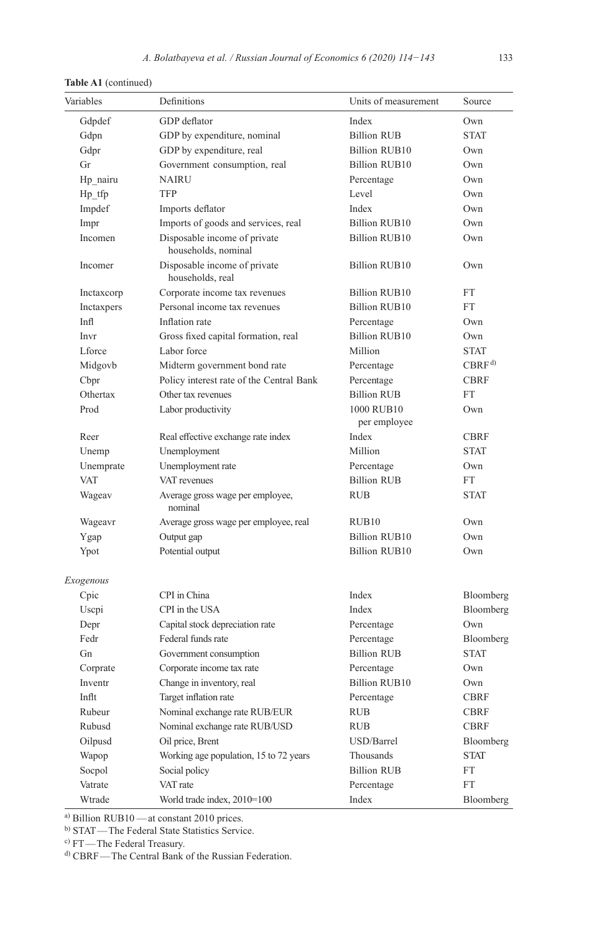| Variables  | Definitions                                         | Units of measurement       | Source            |
|------------|-----------------------------------------------------|----------------------------|-------------------|
| Gdpdef     | GDP deflator                                        | Index                      | Own               |
| Gdpn       | GDP by expenditure, nominal                         | <b>Billion RUB</b>         | <b>STAT</b>       |
| Gdpr       | GDP by expenditure, real                            | <b>Billion RUB10</b>       | Own               |
| Gr         | Government consumption, real                        | Billion RUB10              | Own               |
| Hp nairu   | <b>NAIRU</b>                                        | Percentage                 | Own               |
| $Hp_{f}$   | <b>TFP</b>                                          | Level                      | Own               |
| Impdef     | Imports deflator                                    | Index                      | Own               |
| Impr       | Imports of goods and services, real                 | <b>Billion RUB10</b>       | Own               |
| Incomen    | Disposable income of private<br>households, nominal | <b>Billion RUB10</b>       | Own               |
| Incomer    | Disposable income of private<br>households, real    | <b>Billion RUB10</b>       | Own               |
| Inctaxcorp | Corporate income tax revenues                       | <b>Billion RUB10</b>       | FT                |
| Inctaxpers | Personal income tax revenues                        | <b>Billion RUB10</b>       | <b>FT</b>         |
| Infl       | Inflation rate                                      | Percentage                 | Own               |
| Invr       | Gross fixed capital formation, real                 | <b>Billion RUB10</b>       | Own               |
| L force    | Labor force                                         | Million                    | <b>STAT</b>       |
| Midgovb    | Midterm government bond rate                        | Percentage                 | CBRF <sup>d</sup> |
| Cbpr       | Policy interest rate of the Central Bank            | Percentage                 | <b>CBRF</b>       |
| Othertax   | Other tax revenues                                  | <b>Billion RUB</b>         | FT                |
| Prod       | Labor productivity                                  | 1000 RUB10<br>per employee | Own               |
| Reer       | Real effective exchange rate index                  | Index                      | CBRF              |
| Unemp      | Unemployment                                        | Million                    | <b>STAT</b>       |
| Unemprate  | Unemployment rate                                   | Percentage                 | Own               |
| <b>VAT</b> | VAT revenues                                        | <b>Billion RUB</b>         | <b>FT</b>         |
| Wageav     | Average gross wage per employee,<br>nominal         | <b>RUB</b>                 | <b>STAT</b>       |
| Wageavr    | Average gross wage per employee, real               | RUB10                      | Own               |
| Ygap       | Output gap                                          | <b>Billion RUB10</b>       | Own               |
| Ypot       | Potential output                                    | <b>Billion RUB10</b>       | Own               |
| Exogenous  |                                                     |                            |                   |
| Cpic       | CPI in China                                        | Index                      | Bloomberg         |
| Uscpi      | CPI in the USA                                      | Index                      | Bloomberg         |
| Depr       | Capital stock depreciation rate                     | Percentage                 | Own               |
| Fedr       | Federal funds rate                                  | Percentage                 | Bloomberg         |
| Gn         | Government consumption                              | <b>Billion RUB</b>         | <b>STAT</b>       |
| Corprate   | Corporate income tax rate                           | Percentage                 | Own               |
| Inventr    | Change in inventory, real                           | <b>Billion RUB10</b>       | Own               |
| Inflt      | Target inflation rate                               | Percentage                 | <b>CBRF</b>       |
| Rubeur     | Nominal exchange rate RUB/EUR                       | <b>RUB</b>                 | <b>CBRF</b>       |
| Rubusd     | Nominal exchange rate RUB/USD                       | <b>RUB</b>                 | <b>CBRF</b>       |
| Oilpusd    | Oil price, Brent                                    | USD/Barrel                 | Bloomberg         |
| Wapop      | Working age population, 15 to 72 years              | Thousands                  | <b>STAT</b>       |
| Socpol     | Social policy                                       | <b>Billion RUB</b>         | FT                |
| Vatrate    | VAT rate                                            | Percentage                 | FT                |
| Wtrade     | World trade index, 2010=100                         | Index                      | Bloomberg         |

**Table A1** (continued)

a) Billion RUB10 —at constant 2010 prices.

b) STAT—The Federal State Statistics Service.

c) FT—The Federal Treasury.

d) CBRF—The Central Bank of the Russian Federation.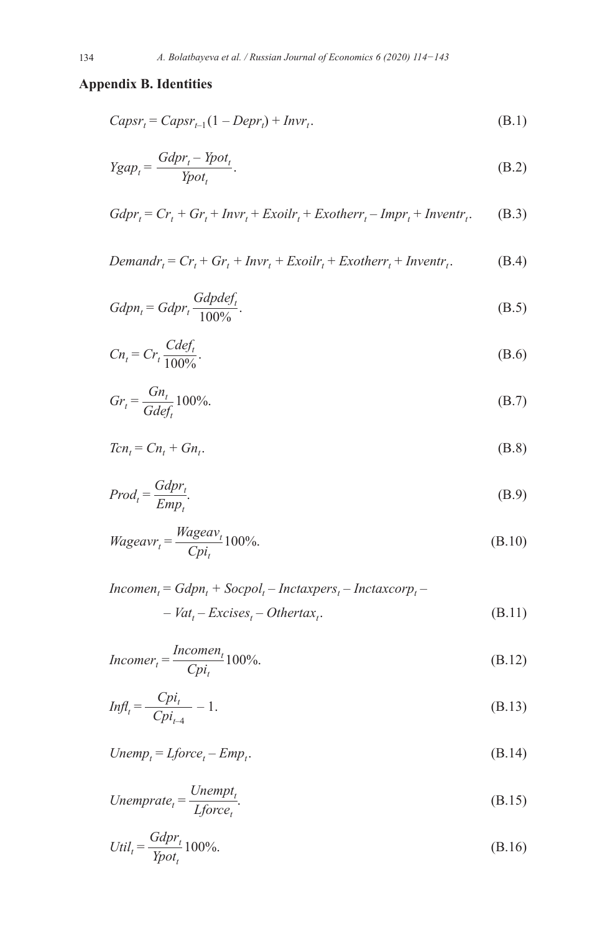# **Appendix B. Identities**

$$
Capsr_t = Capsr_{t-1}(1 - Depr_t) + Invr_t.
$$
\n(B.1)

$$
Ygap_t = \frac{Gdpr_t - Ypot_t}{Ypot_t}.
$$
 (B.2)

$$
Gdpr_t = Cr_t + Gr_t + Invr_t + Exoilr_t + Exotherr_t - Impr_t + Inventr_t.
$$
 (B.3)

$$
Demandr_t = Cr_t + Gr_t + Invr_t + Exoilr_t + Exotherr_t + Inventr_t.
$$
 (B.4)

$$
Gdpn_t = Gdpr_t \frac{Gdpdef_t}{100\%}.
$$
\n(B.5)

$$
Cn_t = Cr_t \frac{Cdef_t}{100\%}.
$$
\n(B.6)

$$
Gr_t = \frac{Gn_t}{Gdef_t} 100\%.
$$
 (B.7)

$$
Tcn_t = Cn_t + Gn_t. \tag{B.8}
$$

$$
Prod_t = \frac{Gdpr_t}{Emp_t}.
$$
\n(B.9)

$$
Wageavr_t = \frac{Wageav_t}{Cpi_t} 100\%.
$$
 (B.10)

$$
Incomen_t = Gdpn_t + Socpol_t - Intaxpers_t - Intaxcorp_t -
$$
  
- 
$$
Vat_t - Excises_t - Othertax_t.
$$
 (B.11)

$$
Incomer_t = \frac{Incomen_t}{Cpi_t} 100\%.
$$
 (B.12)

$$
Infl_t = \frac{Cpi_t}{Cpi_{t-4}} - 1.
$$
\n(B.13)

$$
Unemp_t = Lforce_t - Emp_t.
$$
\n(B.14)

Unemprate<sub>t</sub> = 
$$
\frac{Unempt_t}{Lforce_t}
$$
. (B.15)

$$
Util_t = \frac{Gdpr_t}{Ypot_t}100\%.
$$
\n(B.16)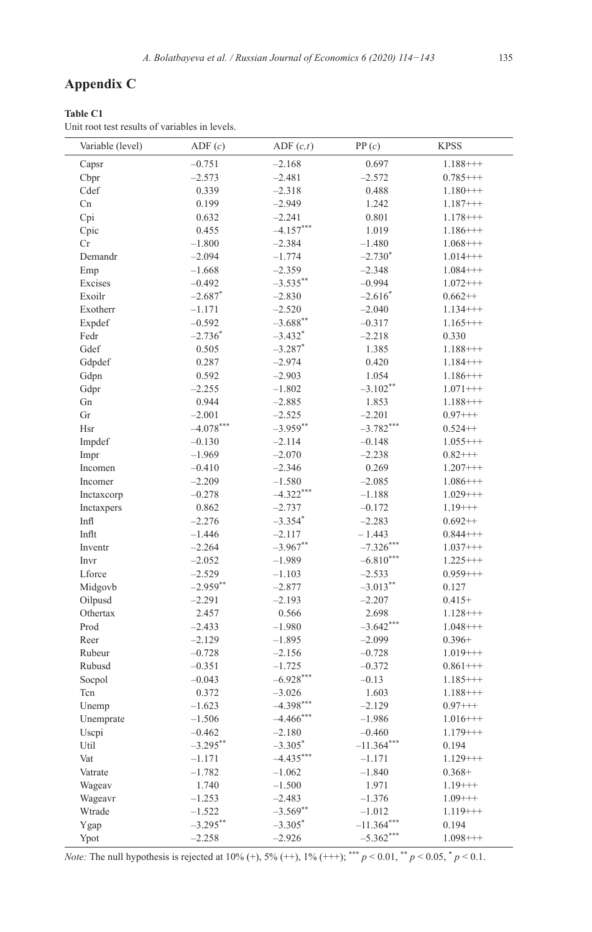# **Appendix C**

**Table C1**

Unit root test results of variables in levels.

| Variable (level) | ADF(c)                | ADE(c,t)     | PP(c)        | <b>KPSS</b> |
|------------------|-----------------------|--------------|--------------|-------------|
| Capsr            | $-0.751$              | $-2.168$     | 0.697        | $1.188++$   |
| Cbpr             | $-2.573$              | $-2.481$     | $-2.572$     | $0.785++$   |
| Cdef             | 0.339                 | $-2.318$     | 0.488        | $1.180++$   |
| Cn               | 0.199                 | $-2.949$     | 1.242        | $1.187++$   |
| Cpi              | 0.632                 | $-2.241$     | 0.801        | $1.178++$   |
| Cpic             | 0.455                 | $-4.157***$  | 1.019        | $1.186++$   |
| $\rm Cr$         | $-1.800$              | $-2.384$     | $-1.480$     | $1.068++$   |
| Demandr          | $-2.094$              | $-1.774$     | $-2.730*$    | $1.014++$   |
| Emp              | $-1.668$              | $-2.359$     | $-2.348$     | $1.084++$   |
| Excises          | $-0.492$              | $-3.535***$  | $-0.994$     | $1.072+++$  |
| Exoilr           | $-2.687$ <sup>*</sup> | $-2.830$     | $-2.616*$    | $0.662++$   |
| Exotherr         | $-1.171$              | $-2.520$     | $-2.040$     | $1.134++$   |
| Expdef           | $-0.592$              | $-3.688$ **  | $-0.317$     | $1.165++$   |
| Fedr             | $-2.736*$             | $-3.432*$    | $-2.218$     | 0.330       |
| Gdef             | 0.505                 | $-3.287*$    | 1.385        | $1.188++$   |
| Gdpdef           | 0.287                 | $-2.974$     | 0.420        | $1.184$ +++ |
| Gdpn             | 0.592                 | $-2.903$     | 1.054        | $1.186++$   |
|                  | $-2.255$              |              | $-3.102**$   | $1.071++$   |
| Gdpr<br>Gn       | 0.944                 | $-1.802$     |              |             |
| Gr               |                       | $-2.885$     | 1.853        | $1.188++$   |
|                  | $-2.001$              | $-2.525$     | $-2.201$     | $0.97+++$   |
| Hsr              | $-4.078***$           | $-3.959**$   | $-3.782***$  | $0.524++$   |
| Impdef           | $-0.130$              | $-2.114$     | $-0.148$     | $1.055++$   |
| Impr             | $-1.969$              | $-2.070$     | $-2.238$     | $0.82++$    |
| Incomen          | $-0.410$              | $-2.346$     | 0.269        | $1.207++$   |
| Incomer          | $-2.209$              | $-1.580$     | $-2.085$     | $1.086++$   |
| Inctaxcorp       | $-0.278$              | $-4.322***$  | $-1.188$     | $1.029++$   |
| Inctaxpers       | 0.862                 | $-2.737$     | $-0.172$     | $1.19++$    |
| Infl             | $-2.276$              | $-3.354*$    | $-2.283$     | $0.692++$   |
| Inflt            | $-1.446$              | $-2.117$     | $-1.443$     | $0.844++$   |
| Inventr          | $-2.264$              | $-3.967**$   | $-7.326***$  | $1.037+++$  |
| Invr             | $-2.052$              | $-1.989$     | $-6.810***$  | $1.225++$   |
| Lforce           | $-2.529$              | $-1.103$     | $-2.533$     | $0.959++$   |
| Midgovb          | $-2.959**$            | $-2.877$     | $-3.013***$  | 0.127       |
| Oilpusd          | $-2.291$              | $-2.193$     | $-2.207$     | $0.415+$    |
| Othertax         | 2.457                 | 0.566        | 2.698        | $1.128++$   |
| Prod             | $-2.433$              | $-1.980$     | $-3.642***$  | $1.048++$   |
| Reer             | $-2.129$              | $-1.895$     | $-2.099$     | $0.396+$    |
| Rubeur           | $-0.728$              | $-2.156$     | $-0.728$     | $1.019++$   |
| Rubusd           | $-0.351$              | $-1.725$     | $-0.372$     | $0.861++$   |
| Socpol           | $-0.043$              | $-6.928***$  | $-0.13$      | $1.185++$   |
| Tcn              | 0.372                 | $-3.026$     | 1.603        | $1.188++$   |
| Unemp            | $-1.623$              | $-4.398***$  | $-2.129$     | $0.97+++$   |
| Unemprate        | $-1.506$              | $-4.466$ *** | $-1.986$     | $1.016++$   |
| Uscpi            | $-0.462$              | $-2.180$     | $-0.460$     | $1.179++$   |
| Util             | $-3.295***$           | $-3.305*$    | $-11.364***$ | 0.194       |
| Vat              | $-1.171$              | $-4.435***$  | $-1.171$     | $1.129++$   |
| Vatrate          | $-1.782$              | $-1.062$     | $-1.840$     | $0.368+$    |
| Wageav           | 1.740                 | $-1.500$     | 1.971        | $1.19+++$   |
| Wageavr          | $-1.253$              | $-2.483$     | $-1.376$     | $1.09+++$   |
| Wtrade           | $-1.522$              | $-3.569**$   | $-1.012$     | $1.119+++$  |
| Ygap             | $-3.295***$           | $-3.305*$    | $-11.364***$ | 0.194       |
| Ypot             | $-2.258$              | $-2.926$     | $-5.362***$  | $1.098++$   |

*Note:* The null hypothesis is rejected at 10% (+), 5% (++), 1% (+++); \*\*\*  $p < 0.01$ , \*\*  $p < 0.05$ , \*  $p < 0.1$ .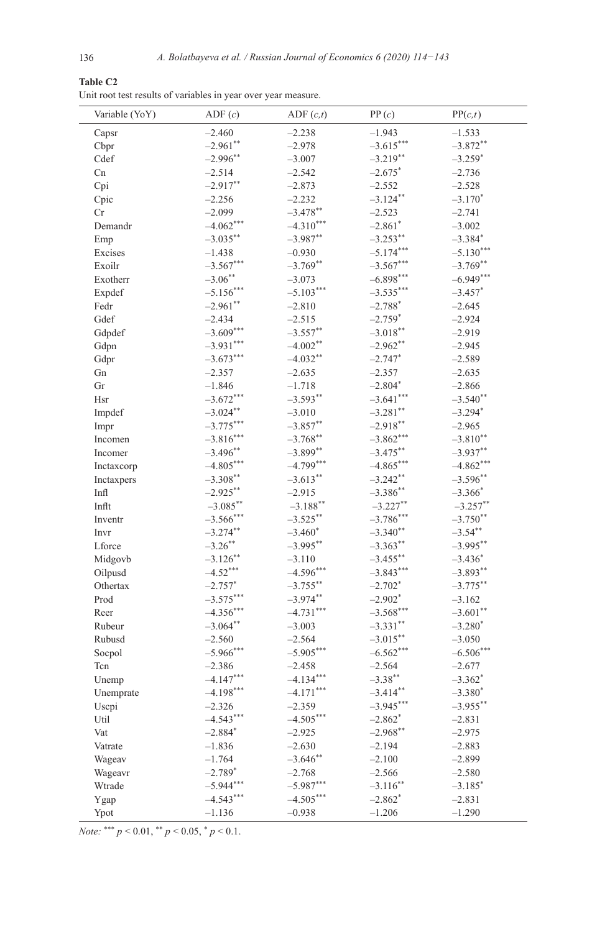| <b>Table C2</b>                                                |  |
|----------------------------------------------------------------|--|
| Unit root test results of variables in year over year measure. |  |

| Variable (YoY) | ADF(c)       | ADF(c,t)                  | PP(c)                 | PP(c,t)               |
|----------------|--------------|---------------------------|-----------------------|-----------------------|
| Capsr          | $-2.460$     | $-2.238$                  | $-1.943$              | $-1.533$              |
| Cbpr           | $-2.961**$   | $-2.978$                  | $-3.615***$           | $-3.872**$            |
| Cdef           | $-2.996**$   | $-3.007$                  | $-3.219**$            | $-3.259*$             |
| Cn             | $-2.514$     | $-2.542$                  | $-2.675$ *            | $-2.736$              |
| Cpi            | $-2.917***$  | $-2.873$                  | $-2.552$              | $-2.528$              |
| Cpic           | $-2.256$     | $-2.232$                  | $-3.124***$           | $-3.170*$             |
| Cr             | $-2.099$     | $-3.478$ **               | $-2.523$              | $-2.741$              |
| Demandr        | $-4.062***$  | $-4.310***$               | $-2.861*$             | $-3.002$              |
| Emp            | $-3.035***$  | $-3.987**$                | $-3.253**$            | $-3.384*$             |
| Excises        | $-1.438$     | $-0.930$                  | $-5.174***$           | $-5.130***$           |
| Exoilr         | $-3.567***$  | $-3.769**$                | $-3.567***$           | $-3.769**$            |
| Exotherr       | $-3.06***$   | $-3.073$                  | $-6.898***$           | $-6.949***$           |
| Expdef         | $-5.156***$  | $-5.103***$               | $-3.535***$           | $-3.457$ *            |
| Fedr           | $-2.961$ **  | $-2.810$                  | $-2.788*$             | $-2.645$              |
| Gdef           | $-2.434$     | $-2.515$                  | $-2.759*$             | $-2.924$              |
| Gdpdef         | $-3.609***$  | $-3.557**$                | $-3.018***$           | $-2.919$              |
| Gdpn           | $-3.931***$  | $-4.002**$                | $-2.962**$            | $-2.945$              |
| Gdpr           | $-3.673***$  | $-4.032**$                | $-2.747*$             | $-2.589$              |
| Gn             | $-2.357$     | $-2.635$                  | $-2.357$              | $-2.635$              |
| Gr             | $-1.846$     | $-1.718$                  | $-2.804*$             | $-2.866$              |
| Hsr            | $-3.672***$  | $-3.593**$                | $-3.641***$           | $-3.540$ **           |
|                | $-3.024***$  | $-3.010$                  | $-3.281$ **           | $-3.294$ <sup>*</sup> |
| Impdef         | $-3.775***$  | $-3.857**$                | $-2.918**$            | $-2.965$              |
| Impr           | $-3.816***$  | $-3.768**$                | $-3.862***$           | $-3.810**$            |
| Incomen        | $-3.496**$   |                           | $-3.475***$           | $-3.937**$            |
| Incomer        | $-4.805***$  | $-3.899**$<br>$-4.799***$ | $-4.865***$           | $-4.862***$           |
| Inctaxcorp     |              |                           |                       |                       |
| Inctaxpers     | $-3.308***$  | $-3.613**$                | $-3.242**$            | $-3.596**$            |
| Infl           | $-2.925***$  | $-2.915$                  | $-3.386$ **           | $-3.366*$             |
| Inflt          | $-3.085***$  | $-3.188***$               | $-3.227**$            | $-3.257***$           |
| Inventr        | $-3.566$ *** | $-3.525***$               | $-3.786***$           | $-3.750**$            |
| Invr           | $-3.274**$   | $-3.460*$                 | $-3.340**$            | $-3.54***$            |
| Lforce         | $-3.26$ **   | $-3.995**$                | $-3.363**$            | $-3.995**$            |
| Midgovb        | $-3.126**$   | $-3.110$                  | $-3.455***$           | $-3.436*$             |
| Oilpusd        | $-4.52***$   | $-4.596***$               | $-3.843***$           | $-3.893**$            |
| Othertax       | $-2.757*$    | $-3.755***$               | $-2.702$ <sup>*</sup> | $-3.775***$           |
| Prod           | $-3.575***$  | $-3.974**$                | $-2.902$ <sup>*</sup> | $-3.162$              |
| Reer           | $-4.356***$  | $-4.731***$               | $-3.568***$           | $-3.601$ **           |
| Rubeur         | $-3.064**$   | $-3.003$                  | $-3.331**$            | $-3.280*$             |
| Rubusd         | $-2.560$     | $-2.564$                  | $-3.015***$           | $-3.050$              |
| Socpol         | $-5.966***$  | $-5.905***$               | $-6.562***$           | $-6.506***$           |
| Tcn            | $-2.386$     | $-2.458$                  | $-2.564$              | $-2.677$              |
| Unemp          | $-4.147***$  | $-4.134***$               | $-3.38***$            | $-3.362*$             |
| Unemprate      | $-4.198***$  | $-4.171***$               | $-3.414***$           | $-3.380*$             |
| Uscpi          | $-2.326$     | $-2.359$                  | $-3.945***$           | $-3.955$ **           |
| Util           | $-4.543***$  | $-4.505***$               | $-2.862*$             | $-2.831$              |
| Vat            | $-2.884*$    | $-2.925$                  | $-2.968**$            | $-2.975$              |
| Vatrate        | $-1.836$     | $-2.630$                  | $-2.194$              | $-2.883$              |
| Wageav         | $-1.764$     | $-3.646**$                | $-2.100$              | $-2.899$              |
| Wageavr        | $-2.789*$    | $-2.768$                  | $-2.566$              | $-2.580$              |
| Wtrade         | $-5.944***$  | $-5.987***$               | $-3.116$ **           | $-3.185$ *            |
| Ygap           | $-4.543***$  | $-4.505***$               | $-2.862^*$            | $-2.831$              |
| Ypot           | $-1.136$     | $-0.938$                  | $-1.206$              | $-1.290$              |

*Note:* \*\*\*  $p < 0.01$ , \*\*  $p < 0.05$ , \*  $p < 0.1$ .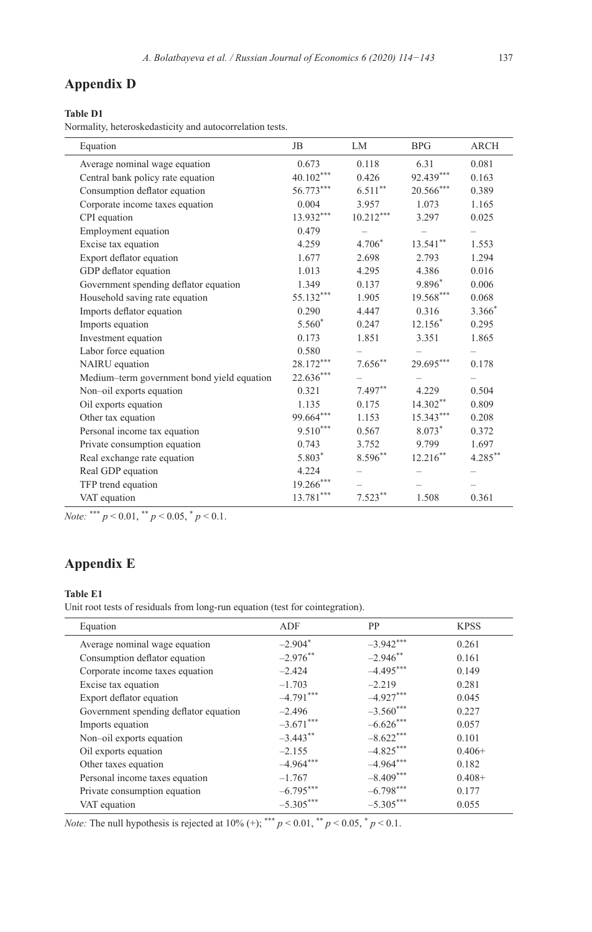## **Appendix D**

#### **Table D1**

Normality, heteroskedasticity and autocorrelation tests.

| Equation                                   | JB          | LM           | <b>BPG</b>  | <b>ARCH</b> |
|--------------------------------------------|-------------|--------------|-------------|-------------|
| Average nominal wage equation              | 0.673       | 0.118        | 6.31        | 0.081       |
| Central bank policy rate equation          | $40.102***$ | 0.426        | 92.439***   | 0.163       |
| Consumption deflator equation              | $56.773***$ | $6.511***$   | 20.566***   | 0.389       |
| Corporate income taxes equation            | 0.004       | 3.957        | 1.073       | 1.165       |
| CPI equation                               | 13.932***   | $10.212***$  | 3.297       | 0.025       |
| Employment equation                        | 0.479       |              |             |             |
| Excise tax equation                        | 4.259       | $4.706*$     | $13.541***$ | 1.553       |
| Export deflator equation                   | 1.677       | 2.698        | 2.793       | 1.294       |
| GDP deflator equation                      | 1.013       | 4.295        | 4.386       | 0.016       |
| Government spending deflator equation      | 1.349       | 0.137        | 9.896*      | 0.006       |
| Household saving rate equation             | 55.132***   | 1.905        | $19.568***$ | 0.068       |
| Imports deflator equation                  | 0.290       | 4.447        | 0.316       | 3.366*      |
| Imports equation                           | 5.560*      | 0.247        | $12.156*$   | 0.295       |
| Investment equation                        | 0.173       | 1.851        | 3.351       | 1.865       |
| Labor force equation                       | 0.580       |              |             |             |
| NAIRU equation                             | 28.172***   | $7.656^{**}$ | $29.695***$ | 0.178       |
| Medium-term government bond yield equation | $22.636***$ |              |             |             |
| Non-oil exports equation                   | 0.321       | $7.497**$    | 4.229       | 0.504       |
| Oil exports equation                       | 1.135       | 0.175        | $14.302**$  | 0.809       |
| Other tax equation                         | 99.664***   | 1.153        | $15.343***$ | 0.208       |
| Personal income tax equation               | $9.510***$  | 0.567        | $8.073*$    | 0.372       |
| Private consumption equation               | 0.743       | 3.752        | 9.799       | 1.697       |
| Real exchange rate equation                | $5.803*$    | $8.596***$   | $12.216***$ | $4.285***$  |
| Real GDP equation                          | 4.224       |              |             |             |
| TFP trend equation                         | $19.266***$ |              |             |             |
| VAT equation                               | $13.781***$ | $7.523**$    | 1.508       | 0.361       |

*Note:* \*\*\*  $p < 0.01$ , \*\*  $p < 0.05$ , \*  $p < 0.1$ .

# **Appendix E**

#### **Table E1**

Unit root tests of residuals from long-run equation (test for cointegration).

| Equation                              | ADF         | <b>PP</b>   | <b>KPSS</b> |
|---------------------------------------|-------------|-------------|-------------|
| Average nominal wage equation         | $-2.904*$   | $-3.942***$ | 0.261       |
| Consumption deflator equation         | $-2.976$ ** | $-2.946$ ** | 0.161       |
| Corporate income taxes equation       | $-2.424$    | $-4.495***$ | 0.149       |
| Excise tax equation                   | $-1.703$    | $-2.219$    | 0.281       |
| Export deflator equation              | $-4.791***$ | $-4.927***$ | 0.045       |
| Government spending deflator equation | $-2.496$    | $-3.560***$ | 0.227       |
| Imports equation                      | $-3.671***$ | $-6.626***$ | 0.057       |
| Non-oil exports equation              | $-3.443$ ** | $-8.622***$ | 0.101       |
| Oil exports equation                  | $-2.155$    | $-4.825***$ | $0.406+$    |
| Other taxes equation                  | $-4.964***$ | $-4.964***$ | 0.182       |
| Personal income taxes equation        | $-1.767$    | $-8.409***$ | $0.408+$    |
| Private consumption equation          | $-6.795***$ | $-6.798***$ | 0.177       |
| VAT equation                          | $-5.305***$ | $-5.305***$ | 0.055       |

*Note:* The null hypothesis is rejected at 10% (+); \*\*\*  $p < 0.01$ , \*\*  $p < 0.05$ , \*  $p < 0.1$ .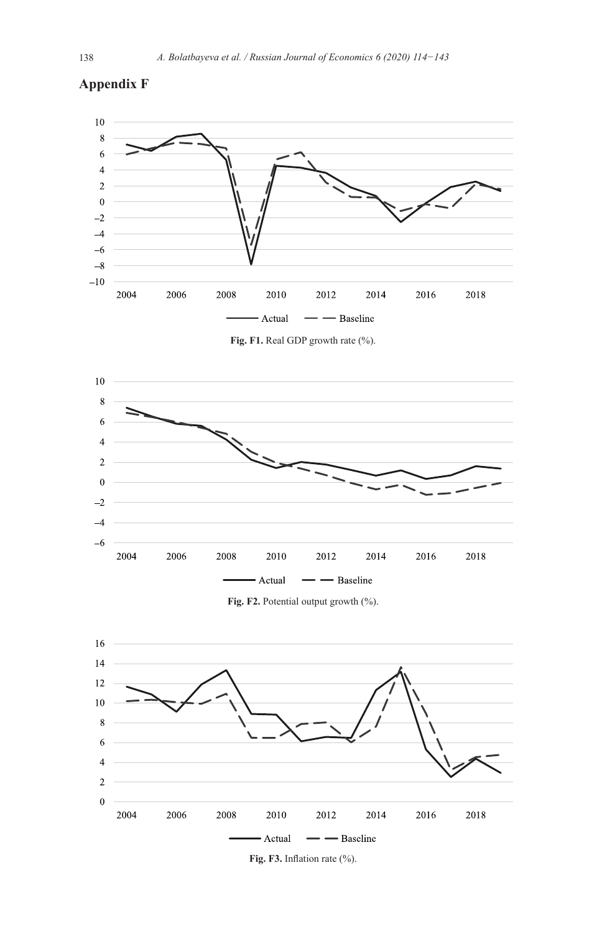



**Fig. F1.** Real GDP growth rate (%).







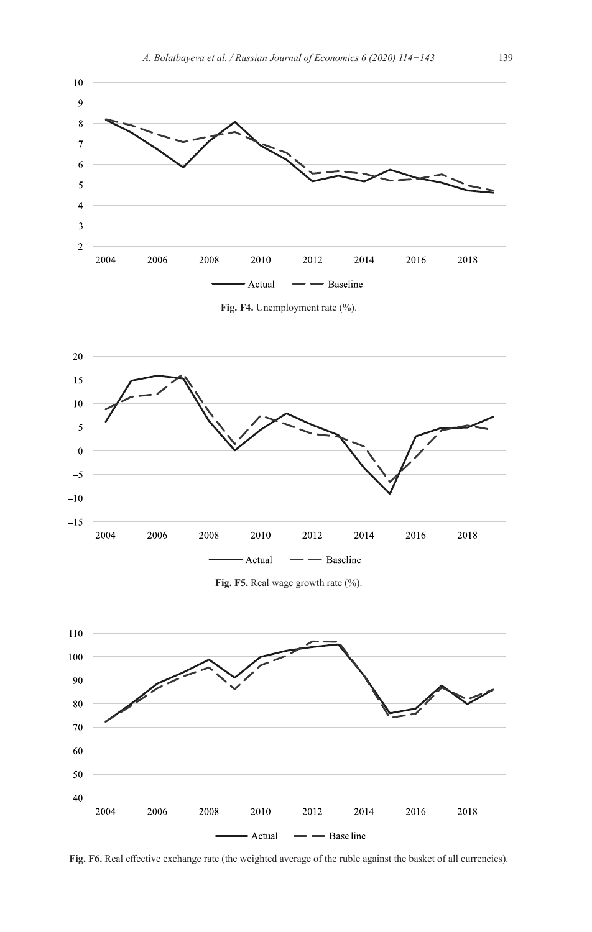

**Fig. F4.** Unemployment rate (%).



**Fig. F5.** Real wage growth rate (%).



**Fig. F6.** Real effective exchange rate (the weighted average of the ruble against the basket of all currencies).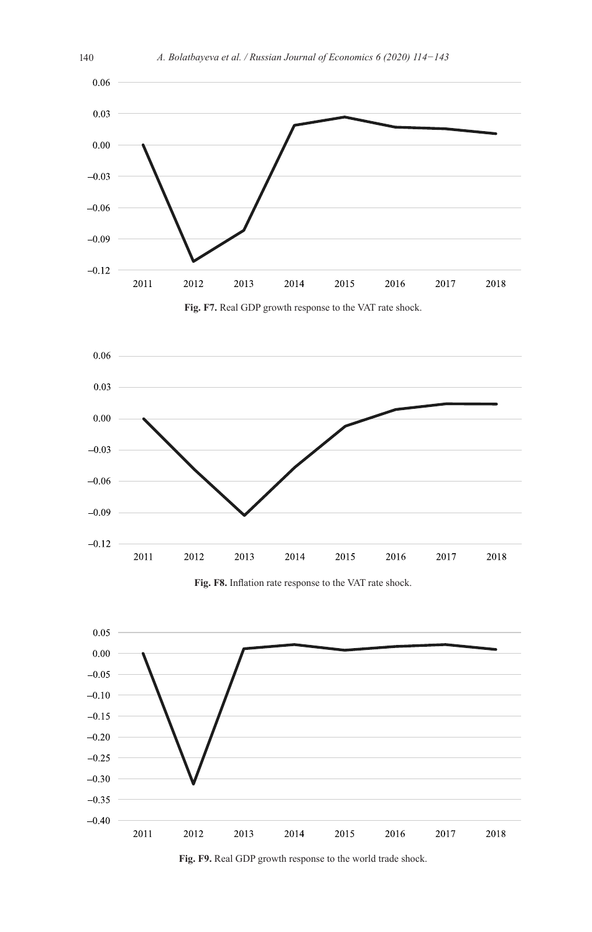

**Fig. F7.** Real GDP growth response to the VAT rate shock.



**Fig. F8.** Inflation rate response to the VAT rate shock.



**Fig. F9.** Real GDP growth response to the world trade shock.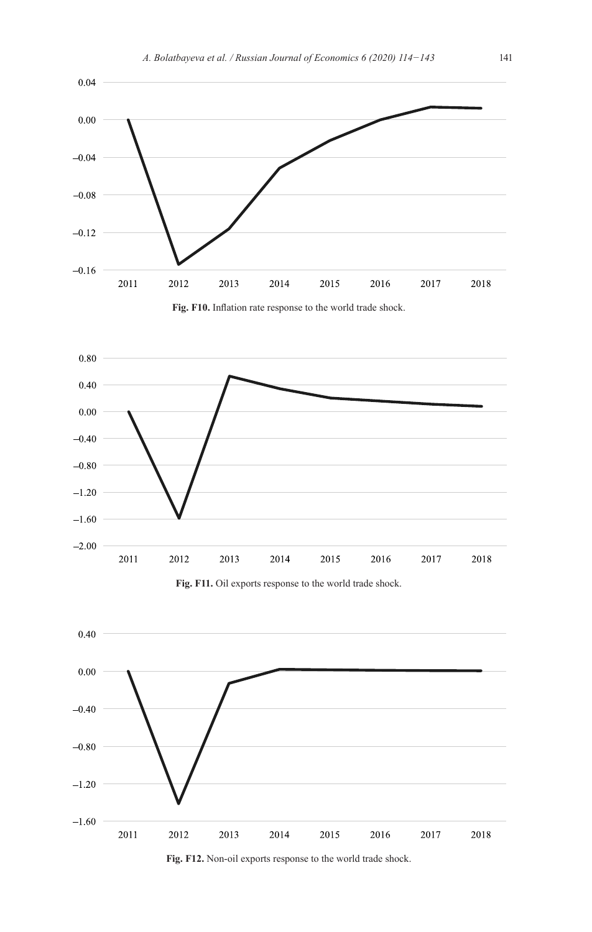









**Fig. F12.** Non-oil exports response to the world trade shock.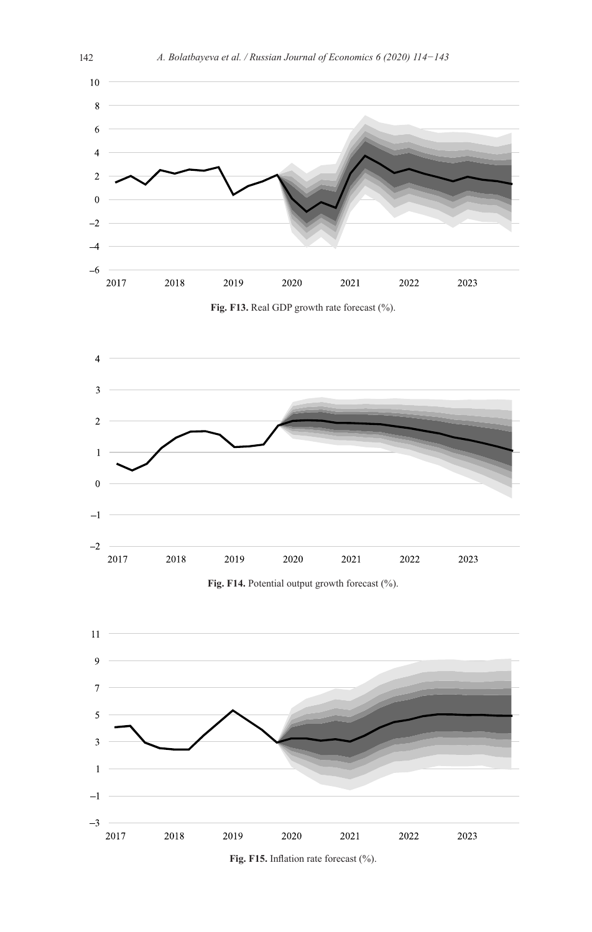

**Fig. F14.** Potential output growth forecast (%).



**Fig. F15.** Inflation rate forecast (%).